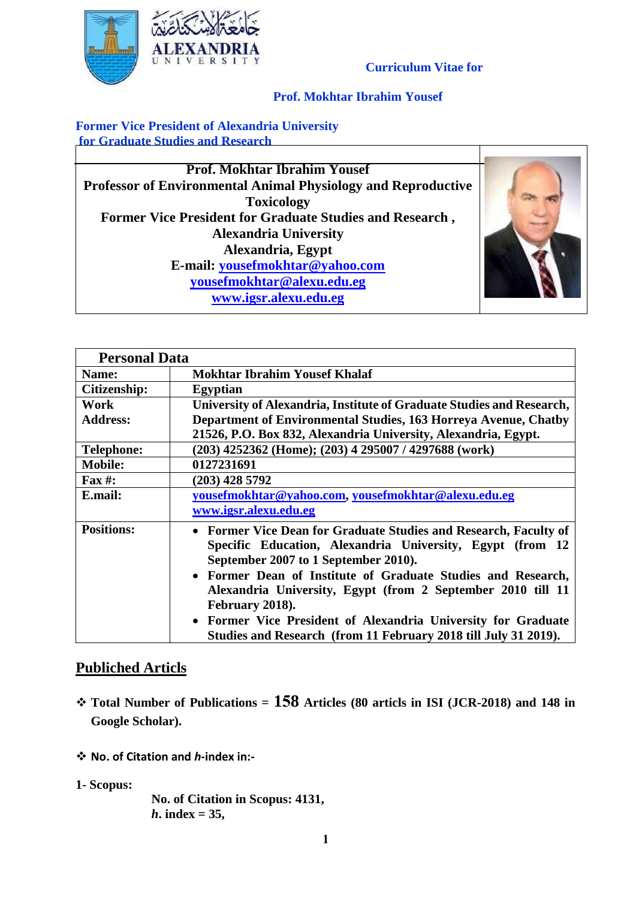

**Former Vice President of Alexandria University for Graduate Studies and Research**

VERSIT

**Prof. Mokhtar Ibrahim Yousef Professor of Environmental Animal Physiology and Reproductive Toxicology Former Vice President for Graduate Studies and Research , Alexandria University Alexandria, Egypt E-mail: [yousefmokhtar@yahoo.com](mailto:yousefmokhtar@yahoo.com) [yousefmokhtar@alexu.edu.eg](mailto:yousefmokhtar@alexu.edu.eg) [www.igsr.alexu.edu.eg](http://www.igsr.alexu.edu.eg/)**



| <b>Personal Data</b> |                                                                                                                                                                                                                                       |
|----------------------|---------------------------------------------------------------------------------------------------------------------------------------------------------------------------------------------------------------------------------------|
| Name:                | <b>Mokhtar Ibrahim Yousef Khalaf</b>                                                                                                                                                                                                  |
| <b>Citizenship:</b>  | Egyptian                                                                                                                                                                                                                              |
| Work                 | University of Alexandria, Institute of Graduate Studies and Research,                                                                                                                                                                 |
| <b>Address:</b>      | Department of Environmental Studies, 163 Horreya Avenue, Chatby                                                                                                                                                                       |
|                      | 21526, P.O. Box 832, Alexandria University, Alexandria, Egypt.                                                                                                                                                                        |
| <b>Telephone:</b>    | (203) 4252362 (Home); (203) 4 295007 / 4297688 (work)                                                                                                                                                                                 |
| <b>Mobile:</b>       | 0127231691                                                                                                                                                                                                                            |
| Fax #:               | $(203)$ 428 5792                                                                                                                                                                                                                      |
| E.mail:              | yousefmokhtar@yahoo.com, yousefmokhtar@alexu.edu.eg                                                                                                                                                                                   |
|                      | www.igsr.alexu.edu.eg                                                                                                                                                                                                                 |
| <b>Positions:</b>    | • Former Vice Dean for Graduate Studies and Research, Faculty of<br>Specific Education, Alexandria University, Egypt (from 12<br>September 2007 to 1 September 2010).<br>• Former Dean of Institute of Graduate Studies and Research, |
|                      | Alexandria University, Egypt (from 2 September 2010 till 11<br>February 2018).                                                                                                                                                        |
|                      | • Former Vice President of Alexandria University for Graduate<br>Studies and Research (from 11 February 2018 till July 31 2019).                                                                                                      |

## **Publiched Articls**

- **Total Number of Publications = 158 Articles (80 articls in ISI (JCR-2018) and 148 in Google Scholar).**
- **No. of Citation and** *h***-index in:-**
- **1- Scopus:**

**No. of Citation in Scopus: 4131,**   $h$ **.** index = 35,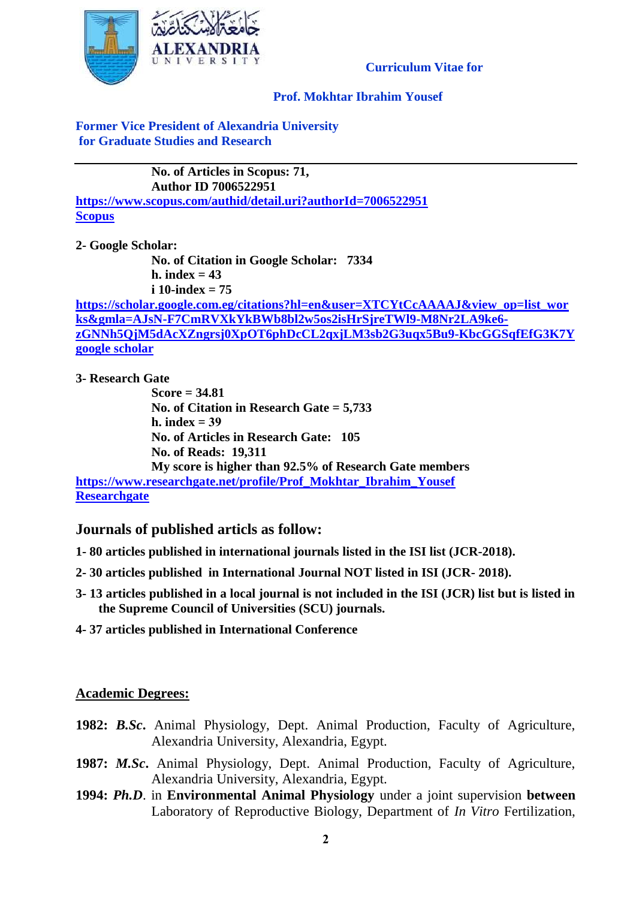

### **Prof. Mokhtar Ibrahim Yousef**

### **Former Vice President of Alexandria University for Graduate Studies and Research**

**No. of Articles in Scopus: 71, Author ID 7006522951 <https://www.scopus.com/authid/detail.uri?authorId=7006522951> [Scopus](https://www.scopus.com/authid/detail.uri?authorId=7006522951)**

**2- Google Scholar:**

**No. of Citation in Google Scholar: 7334 h. index = 43 i 10-index = 75**

**[https://scholar.google.com.eg/citations?hl=en&user=XTCYtCcAAAAJ&view\\_op=list\\_wor](https://scholar.google.com.eg/citations?hl=en&user=XTCYtCcAAAAJ&view_op=list_works&gmla=AJsN-F7CmRVXkYkBWb8bl2w5os2isHrSjreTWl9-M8Nr2LA9ke6-zGNNh5QjM5dAcXZngrsj0XpOT6phDcCL2qxjLM3sb2G3uqx5Bu9-KbcGGSqfEfG3K7Y) [ks&gmla=AJsN-F7CmRVXkYkBWb8bl2w5os2isHrSjreTWl9-M8Nr2LA9ke6](https://scholar.google.com.eg/citations?hl=en&user=XTCYtCcAAAAJ&view_op=list_works&gmla=AJsN-F7CmRVXkYkBWb8bl2w5os2isHrSjreTWl9-M8Nr2LA9ke6-zGNNh5QjM5dAcXZngrsj0XpOT6phDcCL2qxjLM3sb2G3uqx5Bu9-KbcGGSqfEfG3K7Y) [zGNNh5QjM5dAcXZngrsj0XpOT6phDcCL2qxjLM3sb2G3uqx5Bu9-KbcGGSqfEfG3K7Y](https://scholar.google.com.eg/citations?hl=en&user=XTCYtCcAAAAJ&view_op=list_works&gmla=AJsN-F7CmRVXkYkBWb8bl2w5os2isHrSjreTWl9-M8Nr2LA9ke6-zGNNh5QjM5dAcXZngrsj0XpOT6phDcCL2qxjLM3sb2G3uqx5Bu9-KbcGGSqfEfG3K7Y) [google scholar](https://scholar.google.com.eg/citations?hl=en&user=XTCYtCcAAAAJ&view_op=list_works&gmla=AJsN-F7CmRVXkYkBWb8bl2w5os2isHrSjreTWl9-M8Nr2LA9ke6-zGNNh5QjM5dAcXZngrsj0XpOT6phDcCL2qxjLM3sb2G3uqx5Bu9-KbcGGSqfEfG3K7Y)**

**3- Research Gate**

**Score = 34.81 No. of Citation in Research Gate = 5,733 h. index = 39 No. of Articles in Research Gate: 105 No. of Reads: 19,311 My score is higher than 92.5% of Research Gate members [https://www.researchgate.net/profile/Prof\\_Mokhtar\\_Ibrahim\\_Yousef](https://www.researchgate.net/profile/Prof_Mokhtar_Ibrahim_Yousef)**

**[Researchgate](https://www.researchgate.net/profile/Prof_Mokhtar_Ibrahim_Yousef)**

**Journals of published articls as follow:**

- **1- 80 articles published in international journals listed in the ISI list (JCR-2018).**
- **2- 30 articles published in International Journal NOT listed in ISI (JCR- 2018).**
- **3- 13 articles published in a local journal is not included in the ISI (JCR) list but is listed in the Supreme Council of Universities (SCU) journals.**
- **4- 37 articles published in International Conference**

### **Academic Degrees:**

- **1982:** *B.Sc***.** Animal Physiology, Dept. Animal Production, Faculty of Agriculture, Alexandria University, Alexandria, Egypt.
- **1987:** *M.Sc***.** Animal Physiology, Dept. Animal Production, Faculty of Agriculture, Alexandria University, Alexandria, Egypt.
- **1994:** *Ph.D*. in **Environmental Animal Physiology** under a joint supervision **between** Laboratory of Reproductive Biology, Department of *In Vitro* Fertilization,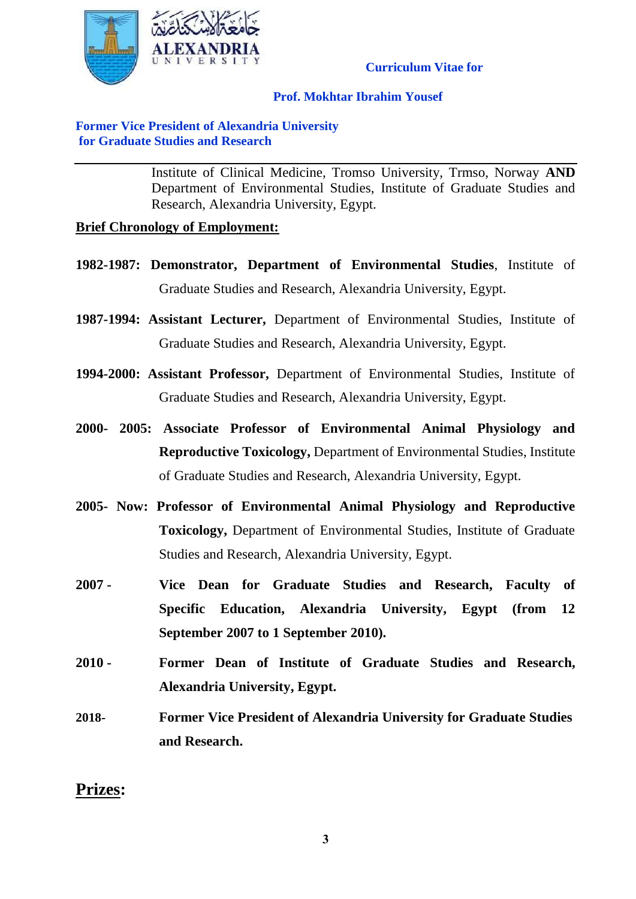

### **Prof. Mokhtar Ibrahim Yousef**

### **Former Vice President of Alexandria University for Graduate Studies and Research**

Institute of Clinical Medicine, Tromso University, Trmso, Norway **AND** Department of Environmental Studies, Institute of Graduate Studies and Research, Alexandria University, Egypt.

### **Brief Chronology of Employment:**

- **1982-1987: Demonstrator, Department of Environmental Studies**, Institute of Graduate Studies and Research, Alexandria University, Egypt.
- **1987-1994: Assistant Lecturer,** Department of Environmental Studies, Institute of Graduate Studies and Research, Alexandria University, Egypt.
- **1994-2000: Assistant Professor,** Department of Environmental Studies, Institute of Graduate Studies and Research, Alexandria University, Egypt.
- **2000- 2005: Associate Professor of Environmental Animal Physiology and Reproductive Toxicology,** Department of Environmental Studies, Institute of Graduate Studies and Research, Alexandria University, Egypt.
- **2005- Now: Professor of Environmental Animal Physiology and Reproductive Toxicology,** Department of Environmental Studies, Institute of Graduate Studies and Research, Alexandria University, Egypt.
- **2007 - Vice Dean for Graduate Studies and Research, Faculty of Specific Education, Alexandria University, Egypt (from 12 September 2007 to 1 September 2010).**
- **2010 - Former Dean of Institute of Graduate Studies and Research, Alexandria University, Egypt.**
- **2018- Former Vice President of Alexandria University for Graduate Studies and Research.**

# **Prizes:**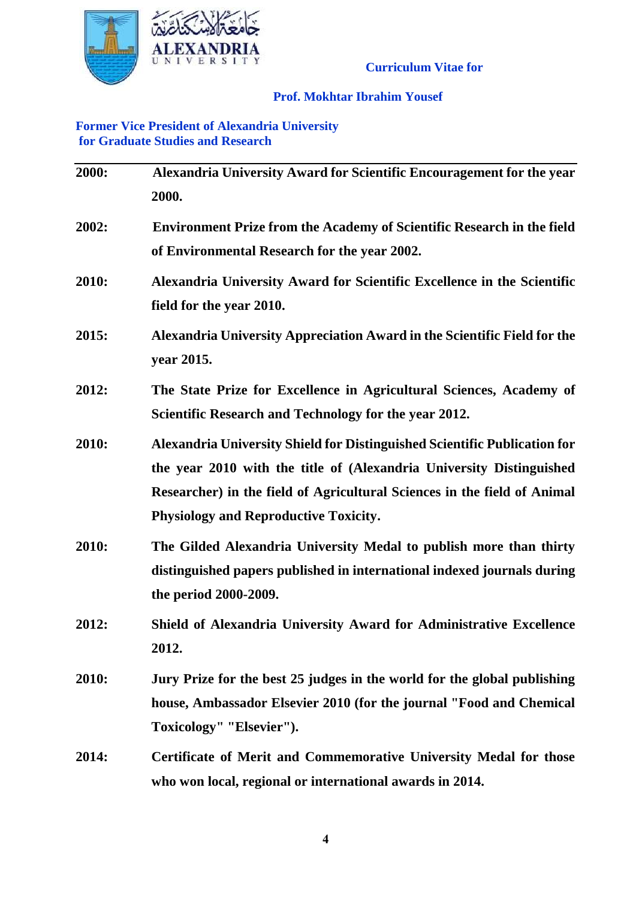

### **Prof. Mokhtar Ibrahim Yousef**

### **Former Vice President of Alexandria University for Graduate Studies and Research**

| 2000: | Alexandria University Award for Scientific Encouragement for the year<br>2000.                                                                                                                                                                                                |
|-------|-------------------------------------------------------------------------------------------------------------------------------------------------------------------------------------------------------------------------------------------------------------------------------|
| 2002: | <b>Environment Prize from the Academy of Scientific Research in the field</b><br>of Environmental Research for the year 2002.                                                                                                                                                 |
| 2010: | Alexandria University Award for Scientific Excellence in the Scientific<br>field for the year 2010.                                                                                                                                                                           |
| 2015: | Alexandria University Appreciation Award in the Scientific Field for the<br>year 2015.                                                                                                                                                                                        |
| 2012: | The State Prize for Excellence in Agricultural Sciences, Academy of<br>Scientific Research and Technology for the year 2012.                                                                                                                                                  |
| 2010: | Alexandria University Shield for Distinguished Scientific Publication for<br>the year 2010 with the title of (Alexandria University Distinguished<br>Researcher) in the field of Agricultural Sciences in the field of Animal<br><b>Physiology and Reproductive Toxicity.</b> |
| 2010: | The Gilded Alexandria University Medal to publish more than thirty<br>distinguished papers published in international indexed journals during<br>the period 2000-2009.                                                                                                        |
| 2012: | Shield of Alexandria University Award for Administrative Excellence<br>2012.                                                                                                                                                                                                  |
| 2010: | Jury Prize for the best 25 judges in the world for the global publishing<br>house, Ambassador Elsevier 2010 (for the journal "Food and Chemical<br>Toxicology" "Elsevier").                                                                                                   |
| 2014: | Certificate of Merit and Commemorative University Medal for those<br>who won local, regional or international awards in 2014.                                                                                                                                                 |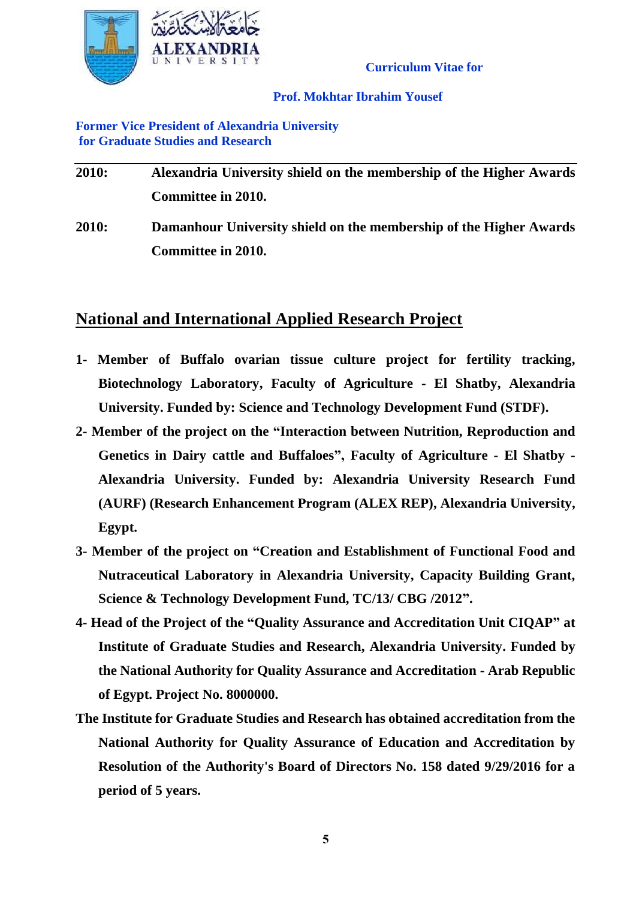

### **Prof. Mokhtar Ibrahim Yousef**

### **Former Vice President of Alexandria University for Graduate Studies and Research**

| 2010: | Alexandria University shield on the membership of the Higher Awards |
|-------|---------------------------------------------------------------------|
|       | <b>Committee in 2010.</b>                                           |
| 2010: | Damanhour University shield on the membership of the Higher Awards  |
|       | Committee in 2010.                                                  |

# **National and International Applied Research Project**

- **1- Member of Buffalo ovarian tissue culture project for fertility tracking, Biotechnology Laboratory, Faculty of Agriculture - El Shatby, Alexandria University. Funded by: Science and Technology Development Fund (STDF).**
- **2- Member of the project on the "Interaction between Nutrition, Reproduction and Genetics in Dairy cattle and Buffaloes", Faculty of Agriculture - El Shatby - Alexandria University. Funded by: Alexandria University Research Fund (AURF) (Research Enhancement Program (ALEX REP), Alexandria University, Egypt.**
- **3- Member of the project on "Creation and Establishment of Functional Food and Nutraceutical Laboratory in Alexandria University, Capacity Building Grant, Science & Technology Development Fund, TC/13/ CBG /2012".**
- **4- Head of the Project of the "Quality Assurance and Accreditation Unit CIQAP" at Institute of Graduate Studies and Research, Alexandria University. Funded by the National Authority for Quality Assurance and Accreditation - Arab Republic of Egypt. Project No. 8000000.**
- **The Institute for Graduate Studies and Research has obtained accreditation from the National Authority for Quality Assurance of Education and Accreditation by Resolution of the Authority's Board of Directors No. 158 dated 9/29/2016 for a period of 5 years.**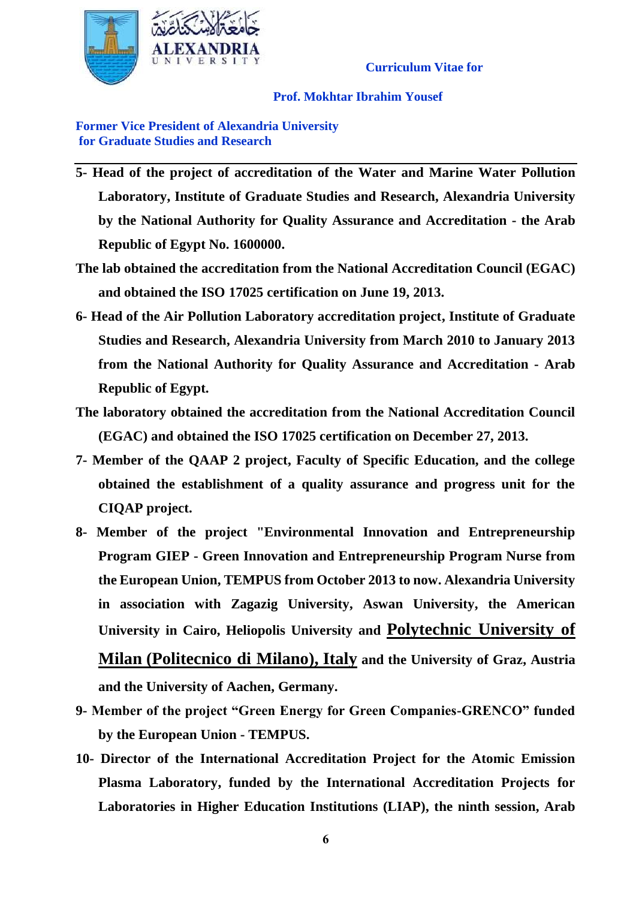

**Prof. Mokhtar Ibrahim Yousef**

**Former Vice President of Alexandria University for Graduate Studies and Research**

- **5- Head of the project of accreditation of the Water and Marine Water Pollution Laboratory, Institute of Graduate Studies and Research, Alexandria University by the National Authority for Quality Assurance and Accreditation - the Arab Republic of Egypt No. 1600000.**
- **The lab obtained the accreditation from the National Accreditation Council (EGAC) and obtained the ISO 17025 certification on June 19, 2013.**
- **6- Head of the Air Pollution Laboratory accreditation project, Institute of Graduate Studies and Research, Alexandria University from March 2010 to January 2013 from the National Authority for Quality Assurance and Accreditation - Arab Republic of Egypt.**
- **The laboratory obtained the accreditation from the National Accreditation Council (EGAC) and obtained the ISO 17025 certification on December 27, 2013.**
- **7- Member of the QAAP 2 project, Faculty of Specific Education, and the college obtained the establishment of a quality assurance and progress unit for the CIQAP project.**
- **8- Member of the project "Environmental Innovation and Entrepreneurship Program GIEP - Green Innovation and Entrepreneurship Program Nurse from the European Union, TEMPUS from October 2013 to now. Alexandria University in association with Zagazig University, Aswan University, the American University in Cairo, Heliopolis University and Polytechnic University of**

**Milan (Politecnico di Milano), Italy and the University of Graz, Austria and the University of Aachen, Germany.**

- **9- Member of the project "Green Energy for Green Companies-GRENCO" funded by the European Union - TEMPUS.**
- **10- Director of the International Accreditation Project for the Atomic Emission Plasma Laboratory, funded by the International Accreditation Projects for Laboratories in Higher Education Institutions (LIAP), the ninth session, Arab**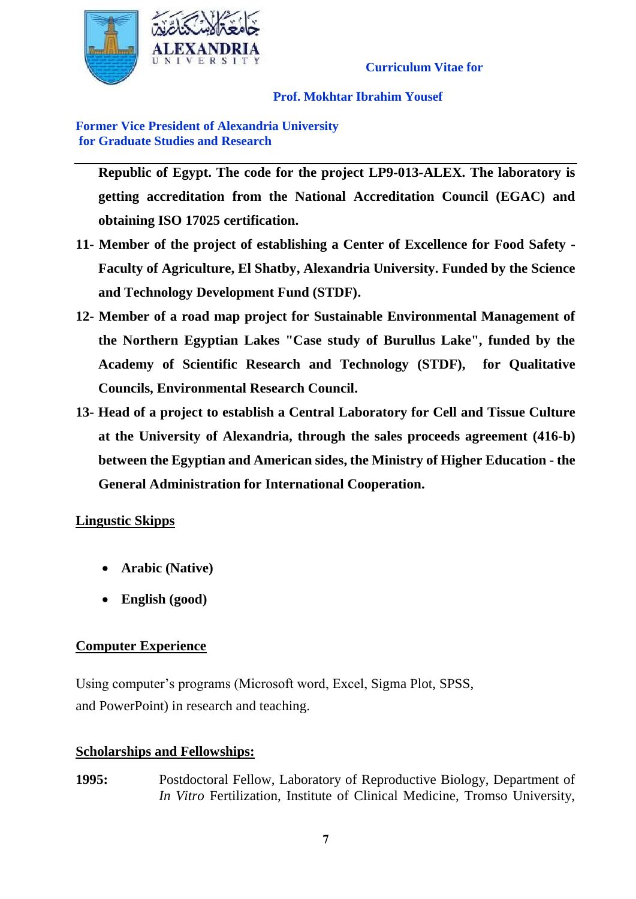

### **Prof. Mokhtar Ibrahim Yousef**

**Former Vice President of Alexandria University for Graduate Studies and Research**

**Republic of Egypt. The code for the project LP9-013-ALEX. The laboratory is getting accreditation from the National Accreditation Council (EGAC) and obtaining ISO 17025 certification.**

- **11- Member of the project of establishing a Center of Excellence for Food Safety - Faculty of Agriculture, El Shatby, Alexandria University. Funded by the Science and Technology Development Fund (STDF).**
- **12- Member of a road map project for Sustainable Environmental Management of the Northern Egyptian Lakes "Case study of Burullus Lake", funded by the Academy of Scientific Research and Technology (STDF), for Qualitative Councils, Environmental Research Council.**
- **13- Head of a project to establish a Central Laboratory for Cell and Tissue Culture at the University of Alexandria, through the sales proceeds agreement (416-b) between the Egyptian and American sides, the Ministry of Higher Education - the General Administration for International Cooperation.**

# **Lingustic Skipps**

- **Arabic (Native)**
- **English (good)**

# **Computer Experience**

Using computer's programs (Microsoft word, Excel, Sigma Plot, SPSS, and PowerPoint) in research and teaching.

### **Scholarships and Fellowships:**

**1995:** Postdoctoral Fellow, Laboratory of Reproductive Biology, Department of *In Vitro* Fertilization, Institute of Clinical Medicine, Tromso University,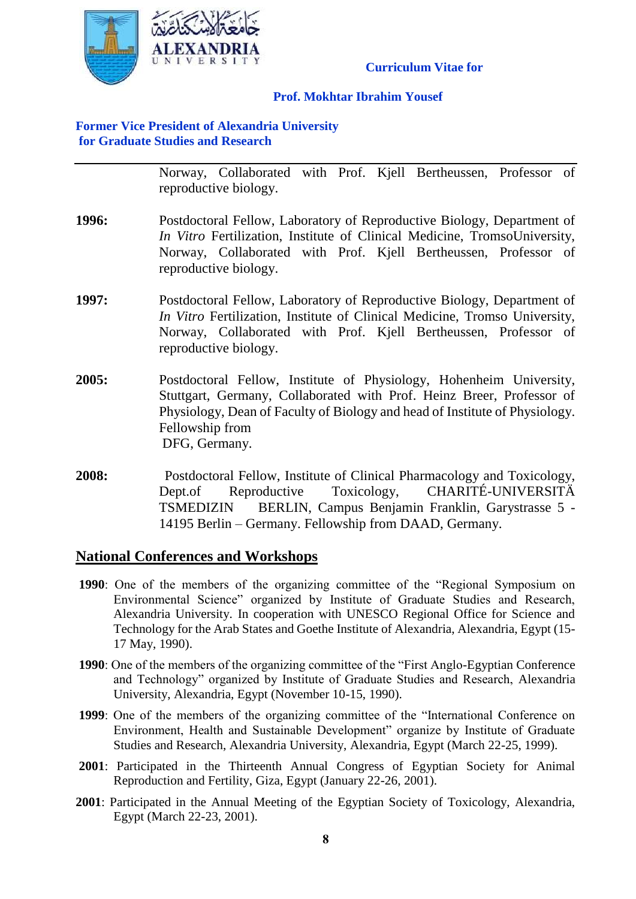

### **Prof. Mokhtar Ibrahim Yousef**

### **Former Vice President of Alexandria University for Graduate Studies and Research**

Norway, Collaborated with Prof. Kjell Bertheussen, Professor of reproductive biology.

- **1996:** Postdoctoral Fellow, Laboratory of Reproductive Biology, Department of *In Vitro* Fertilization, Institute of Clinical Medicine, TromsoUniversity, Norway, Collaborated with Prof. Kjell Bertheussen, Professor of reproductive biology.
- **1997:** Postdoctoral Fellow, Laboratory of Reproductive Biology, Department of *In Vitro* Fertilization, Institute of Clinical Medicine, Tromso University, Norway, Collaborated with Prof. Kjell Bertheussen, Professor of reproductive biology.
- **2005:** Postdoctoral Fellow, Institute of Physiology, Hohenheim University, Stuttgart, Germany, Collaborated with Prof. Heinz Breer, Professor of Physiology, Dean of Faculty of Biology and head of Institute of Physiology. Fellowship from DFG, Germany.
- **2008:** Postdoctoral Fellow, Institute of Clinical Pharmacology and Toxicology, Dept.of Reproductive Toxicology, CHARITÉ-UNIVERSITÄ TSMEDIZIN BERLIN, Campus Benjamin Franklin, Garystrasse 5 - 14195 Berlin – Germany. Fellowship from DAAD, Germany.

# **National Conferences and Workshops**

- **1990**: One of the members of the organizing committee of the "Regional Symposium on Environmental Science" organized by Institute of Graduate Studies and Research, Alexandria University. In cooperation with UNESCO Regional Office for Science and Technology for the Arab States and Goethe Institute of Alexandria, Alexandria, Egypt (15- 17 May, 1990).
- **1990**: One of the members of the organizing committee of the "First Anglo-Egyptian Conference and Technology" organized by Institute of Graduate Studies and Research, Alexandria University, Alexandria, Egypt (November 10-15, 1990).
- **1999**: One of the members of the organizing committee of the "International Conference on Environment, Health and Sustainable Development" organize by Institute of Graduate Studies and Research, Alexandria University, Alexandria, Egypt (March 22-25, 1999).
- **2001**: Participated in the Thirteenth Annual Congress of Egyptian Society for Animal Reproduction and Fertility, Giza, Egypt (January 22-26, 2001).
- **2001**: Participated in the Annual Meeting of the Egyptian Society of Toxicology, Alexandria, Egypt (March 22-23, 2001).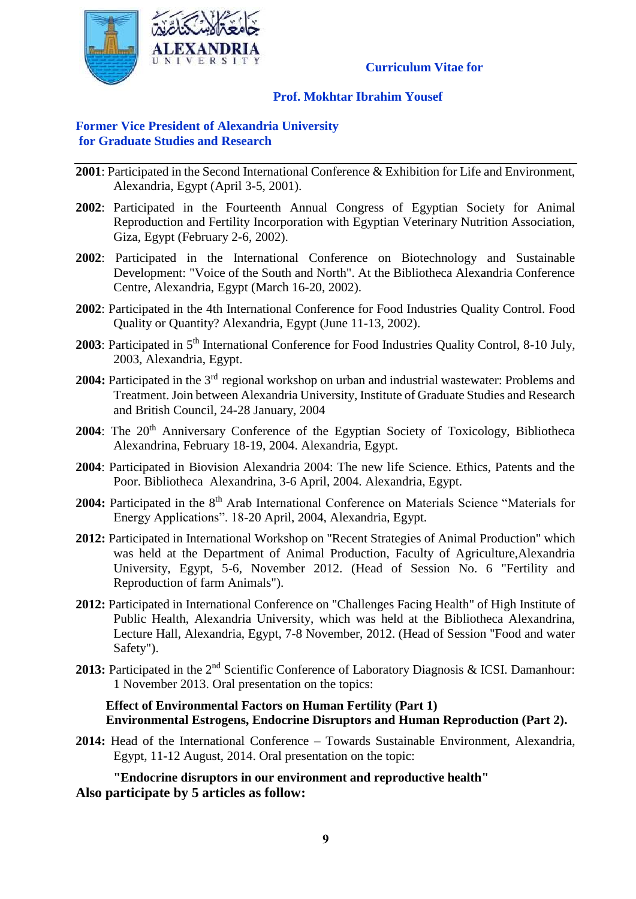

### **Prof. Mokhtar Ibrahim Yousef**

### **Former Vice President of Alexandria University for Graduate Studies and Research**

- **2001**: Participated in the Second International Conference & Exhibition for Life and Environment, Alexandria, Egypt (April 3-5, 2001).
- **2002**: Participated in the Fourteenth Annual Congress of Egyptian Society for Animal Reproduction and Fertility Incorporation with Egyptian Veterinary Nutrition Association, Giza, Egypt (February 2-6, 2002).
- **2002**: Participated in the International Conference on Biotechnology and Sustainable Development: "Voice of the South and North". At the Bibliotheca Alexandria Conference Centre, Alexandria, Egypt (March 16-20, 2002).
- **2002**: Participated in the 4th International Conference for Food Industries Quality Control. Food Quality or Quantity? Alexandria, Egypt (June 11-13, 2002).
- **2003**: Participated in 5<sup>th</sup> International Conference for Food Industries Quality Control, 8-10 July, 2003, Alexandria, Egypt.
- **2004:** Participated in the 3rd regional workshop on urban and industrial wastewater: Problems and Treatment. Join between Alexandria University, Institute of Graduate Studies and Research and British Council, 24-28 January, 2004
- **2004**: The 20<sup>th</sup> Anniversary Conference of the Egyptian Society of Toxicology, Bibliotheca Alexandrina, February 18-19, 2004. Alexandria, Egypt.
- **2004**: Participated in Biovision Alexandria 2004: The new life Science. Ethics, Patents and the Poor. Bibliotheca Alexandrina, 3-6 April, 2004. Alexandria, Egypt.
- 2004: Participated in the 8<sup>th</sup> Arab International Conference on Materials Science "Materials for Energy Applications". 18-20 April, 2004, Alexandria, Egypt.
- **2012:** Participated in International Workshop on "Recent Strategies of Animal Production" which was held at the Department of Animal Production, Faculty of Agriculture,Alexandria University, Egypt, 5-6, November 2012. (Head of Session No. 6 "Fertility and Reproduction of farm Animals").
- **2012:** Participated in International Conference on "Challenges Facing Health" of High Institute of Public Health, Alexandria University, which was held at the Bibliotheca Alexandrina, Lecture Hall, Alexandria, Egypt, 7-8 November, 2012. (Head of Session "Food and water Safety").
- 2013: Participated in the 2<sup>nd</sup> Scientific Conference of Laboratory Diagnosis & ICSI. Damanhour: 1 November 2013. Oral presentation on the topics:

#### **Effect of Environmental Factors on Human Fertility (Part 1) Environmental Estrogens, Endocrine Disruptors and Human Reproduction (Part 2).**

**2014:** Head of the International Conference – Towards Sustainable Environment, Alexandria, Egypt, 11-12 August, 2014. Oral presentation on the topic:

**"Endocrine disruptors in our environment and reproductive health" Also participate by 5 articles as follow:**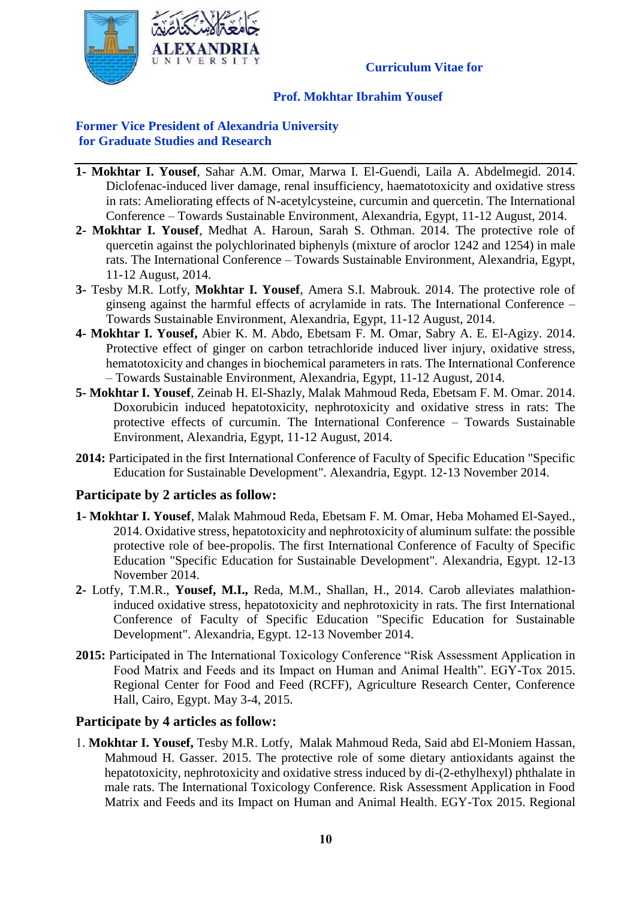

### **Prof. Mokhtar Ibrahim Yousef**

### **Former Vice President of Alexandria University for Graduate Studies and Research**

- **1- Mokhtar I. Yousef**, Sahar A.M. Omar, Marwa I. El-Guendi, Laila A. Abdelmegid. 2014. Diclofenac-induced liver damage, renal insufficiency, haematotoxicity and oxidative stress in rats: Ameliorating effects of N-acetylcysteine, curcumin and quercetin. The International Conference – Towards Sustainable Environment, Alexandria, Egypt, 11-12 August, 2014.
- **2- Mokhtar I. Yousef**, Medhat A. Haroun, Sarah S. Othman. 2014. The protective role of quercetin against the polychlorinated biphenyls (mixture of aroclor 1242 and 1254) in male rats. The International Conference – Towards Sustainable Environment, Alexandria, Egypt, 11-12 August, 2014.
- **3-** Tesby M.R. Lotfy, **Mokhtar I. Yousef**, Amera S.I. Mabrouk. 2014. The protective role of ginseng against the harmful effects of acrylamide in rats. The International Conference – Towards Sustainable Environment, Alexandria, Egypt, 11-12 August, 2014.
- **4- Mokhtar I. Yousef,** Abier K. M. Abdo, Ebetsam F. M. Omar, Sabry A. E. El-Agizy. 2014. Protective effect of ginger on carbon tetrachloride induced liver injury, oxidative stress, hematotoxicity and changes in biochemical parameters in rats. The International Conference – Towards Sustainable Environment, Alexandria, Egypt, 11-12 August, 2014.
- **5- Mokhtar I. Yousef**, Zeinab H. El-Shazly, Malak Mahmoud Reda, Ebetsam F. M. Omar. 2014. Doxorubicin induced hepatotoxicity, nephrotoxicity and oxidative stress in rats: The protective effects of curcumin. The International Conference – Towards Sustainable Environment, Alexandria, Egypt, 11-12 August, 2014.
- **2014:** Participated in the first International Conference of Faculty of Specific Education "Specific Education for Sustainable Development". Alexandria, Egypt. 12-13 November 2014.

### **Participate by 2 articles as follow:**

- **1- Mokhtar I. Yousef**, Malak Mahmoud Reda, Ebetsam F. M. Omar, Heba Mohamed El-Sayed., 2014. Oxidative stress, hepatotoxicity and nephrotoxicity of aluminum sulfate: the possible protective role of bee-propolis. The first International Conference of Faculty of Specific Education "Specific Education for Sustainable Development". Alexandria, Egypt. 12-13 November 2014.
- **2-** Lotfy, T.M.R., **Yousef, M.I.,** Reda, M.M., Shallan, H., 2014. Carob alleviates malathioninduced oxidative stress, hepatotoxicity and nephrotoxicity in rats. The first International Conference of Faculty of Specific Education "Specific Education for Sustainable Development". Alexandria, Egypt. 12-13 November 2014.
- **2015:** Participated in The International Toxicology Conference "Risk Assessment Application in Food Matrix and Feeds and its Impact on Human and Animal Health". EGY-Tox 2015. Regional Center for Food and Feed (RCFF), Agriculture Research Center, Conference Hall, Cairo, Egypt. May 3-4, 2015.

### **Participate by 4 articles as follow:**

1. **Mokhtar I. Yousef,** Tesby M.R. Lotfy, Malak Mahmoud Reda, Said abd El-Moniem Hassan, Mahmoud H. Gasser. 2015. The protective role of some dietary antioxidants against the hepatotoxicity, nephrotoxicity and oxidative stress induced by di-(2-ethylhexyl) phthalate in male rats. The International Toxicology Conference. Risk Assessment Application in Food Matrix and Feeds and its Impact on Human and Animal Health. EGY-Tox 2015. Regional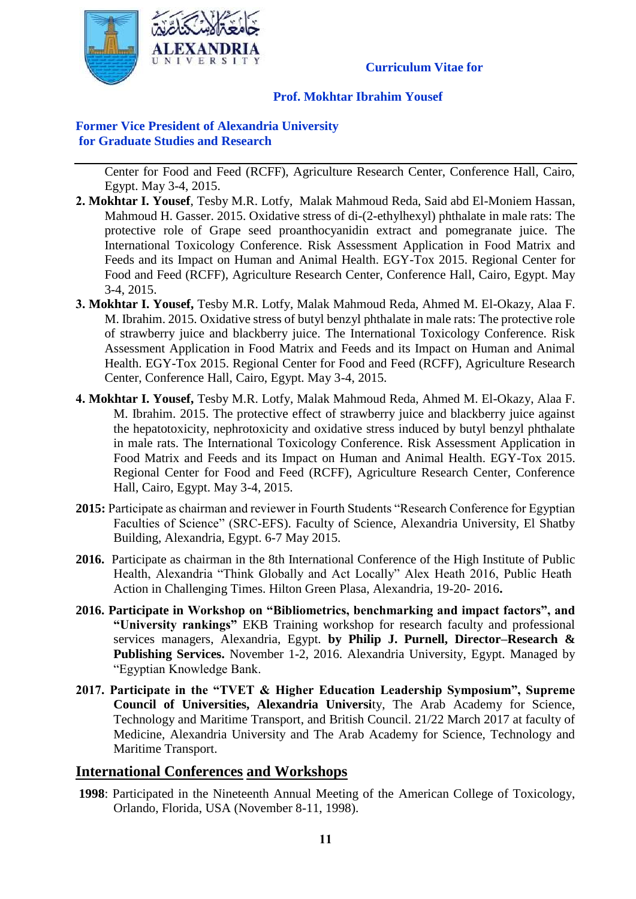

### **Prof. Mokhtar Ibrahim Yousef**

### **Former Vice President of Alexandria University for Graduate Studies and Research**

Center for Food and Feed (RCFF), Agriculture Research Center, Conference Hall, Cairo, Egypt. May 3-4, 2015.

- **2. Mokhtar I. Yousef**, Tesby M.R. Lotfy, Malak Mahmoud Reda, Said abd El-Moniem Hassan, Mahmoud H. Gasser. 2015. Oxidative stress of di-(2-ethylhexyl) phthalate in male rats: The protective role of Grape seed proanthocyanidin extract and pomegranate juice. The International Toxicology Conference. Risk Assessment Application in Food Matrix and Feeds and its Impact on Human and Animal Health. EGY-Tox 2015. Regional Center for Food and Feed (RCFF), Agriculture Research Center, Conference Hall, Cairo, Egypt. May 3-4, 2015.
- **3. Mokhtar I. Yousef,** Tesby M.R. Lotfy, Malak Mahmoud Reda, Ahmed M. El-Okazy, Alaa F. M. Ibrahim. 2015. Oxidative stress of butyl benzyl phthalate in male rats: The protective role of strawberry juice and blackberry juice. The International Toxicology Conference. Risk Assessment Application in Food Matrix and Feeds and its Impact on Human and Animal Health. EGY-Tox 2015. Regional Center for Food and Feed (RCFF), Agriculture Research Center, Conference Hall, Cairo, Egypt. May 3-4, 2015.
- **4. Mokhtar I. Yousef,** Tesby M.R. Lotfy, Malak Mahmoud Reda, Ahmed M. El-Okazy, Alaa F. M. Ibrahim. 2015. The protective effect of strawberry juice and blackberry juice against the hepatotoxicity, nephrotoxicity and oxidative stress induced by butyl benzyl phthalate in male rats. The International Toxicology Conference. Risk Assessment Application in Food Matrix and Feeds and its Impact on Human and Animal Health. EGY-Tox 2015. Regional Center for Food and Feed (RCFF), Agriculture Research Center, Conference Hall, Cairo, Egypt. May 3-4, 2015.
- **2015:** Participate as chairman and reviewer in Fourth Students "Research Conference for Egyptian Faculties of Science" (SRC-EFS). Faculty of Science, Alexandria University, El Shatby Building, Alexandria, Egypt. 6-7 May 2015.
- **2016.** Participate as chairman in the 8th International Conference of the High Institute of Public Health, Alexandria "Think Globally and Act Locally" Alex Heath 2016, Public Heath Action in Challenging Times. Hilton Green Plasa, Alexandria, 19-20- 2016**.**
- **2016. Participate in Workshop on "Bibliometrics, benchmarking and impact factors", and "University rankings"** EKB Training workshop for research faculty and professional services managers, Alexandria, Egypt. **by Philip J. Purnell, Director–Research & Publishing Services.** November 1-2, 2016. Alexandria University, Egypt. Managed by "Egyptian Knowledge Bank.
- **2017. Participate in the "TVET & Higher Education Leadership Symposium", Supreme Council of Universities, Alexandria Universi**ty, The Arab Academy for Science, Technology and Maritime Transport, and British Council. 21/22 March 2017 at faculty of Medicine, Alexandria University and The Arab Academy for Science, Technology and Maritime Transport.

### **International Conferences and Workshops**

**1998**: Participated in the Nineteenth Annual Meeting of the American College of Toxicology, Orlando, Florida, USA (November 8-11, 1998).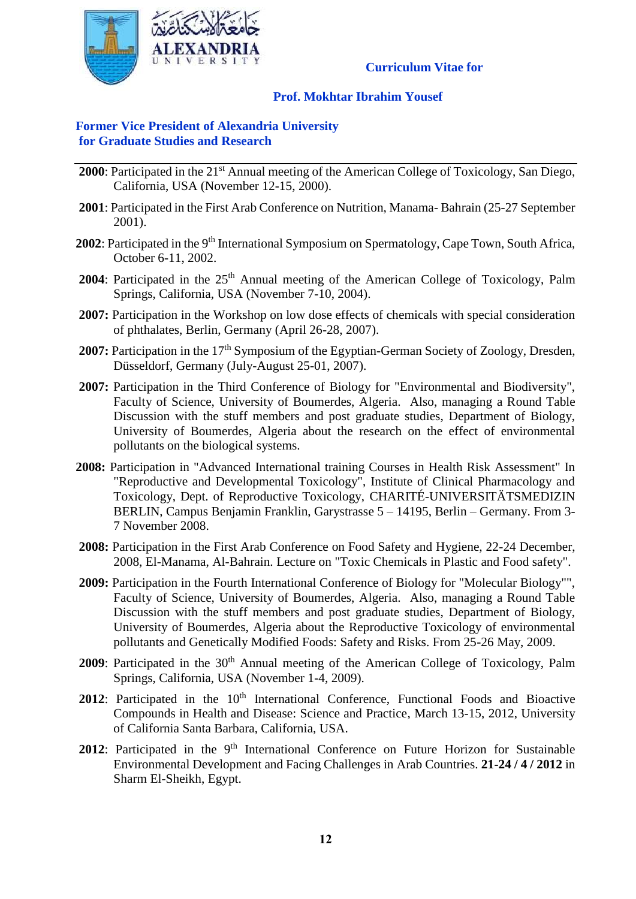

### **Prof. Mokhtar Ibrahim Yousef**

### **Former Vice President of Alexandria University for Graduate Studies and Research**

- **2000**: Participated in the 21<sup>st</sup> Annual meeting of the American College of Toxicology, San Diego, California, USA (November 12-15, 2000).
- **2001**: Participated in the First Arab Conference on Nutrition, Manama- Bahrain (25-27 September 2001).
- 2002: Participated in the 9<sup>th</sup> International Symposium on Spermatology, Cape Town, South Africa, October 6-11, 2002.
- **2004**: Participated in the 25<sup>th</sup> Annual meeting of the American College of Toxicology, Palm Springs, California, USA (November 7-10, 2004).
- **2007:** Participation in the Workshop on low dose effects of chemicals with special consideration of phthalates, Berlin, Germany (April 26-28, 2007).
- **2007:** Participation in the 17<sup>th</sup> Symposium of the Egyptian-German Society of Zoology, Dresden, Düsseldorf, Germany (July-August 25-01, 2007).
- **2007:** Participation in the Third Conference of Biology for "Environmental and Biodiversity", Faculty of Science, University of Boumerdes, Algeria. Also, managing a Round Table Discussion with the stuff members and post graduate studies, Department of Biology, University of Boumerdes, Algeria about the research on the effect of environmental pollutants on the biological systems.
- **2008:** Participation in "Advanced International training Courses in Health Risk Assessment" In "Reproductive and Developmental Toxicology", Institute of Clinical Pharmacology and Toxicology, Dept. of Reproductive Toxicology, CHARITÉ-UNIVERSITÄTSMEDIZIN BERLIN, Campus Benjamin Franklin, Garystrasse 5 – 14195, Berlin – Germany. From 3- 7 November 2008.
- **2008:** Participation in the First Arab Conference on Food Safety and Hygiene, 22-24 December, 2008, El-Manama, Al-Bahrain. Lecture on "Toxic Chemicals in Plastic and Food safety".
- **2009:** Participation in the Fourth International Conference of Biology for "Molecular Biology"", Faculty of Science, University of Boumerdes, Algeria. Also, managing a Round Table Discussion with the stuff members and post graduate studies, Department of Biology, University of Boumerdes, Algeria about the Reproductive Toxicology of environmental pollutants and Genetically Modified Foods: Safety and Risks. From 25-26 May, 2009.
- **2009**: Participated in the 30<sup>th</sup> Annual meeting of the American College of Toxicology, Palm Springs, California, USA (November 1-4, 2009).
- 2012: Participated in the 10<sup>th</sup> [International Conference,](http://cts.vresp.com/c/?FunctionalFoodsCente/ec1773382b/4cf2fed507/1a04d91d1f/utm_content=&utm_source=VerticalResponse&utm_medium=Email&utm_term=International%20Conference&utm_campaign=Preliminary%20Conference%20Program) Functional Foods and Bioactive [Compounds in Health and Disease: Science and Practice,](http://cts.vresp.com/c/?FunctionalFoodsCente/ec1773382b/4cf2fed507/238d5d972a/utm_content=&utm_source=VerticalResponse&utm_medium=Email&utm_term=Functional%20Foods%20and%20Bioactive%20Compounds%20in%20Health%20and%20Disease%3A%20Science%20and%20Practice&utm_campaign=Preliminary%20Conference%20Program) March 13-15, 2012, University of California Santa Barbara, California, USA.
- 2012: Participated in the 9<sup>th</sup> International Conference on Future Horizon for Sustainable Environmental Development and Facing Challenges in Arab Countries. **21-24 / 4 / 2012** in [Sharm El-Sheikh,](http://www.dreamsresortsegypt.com/) Egypt.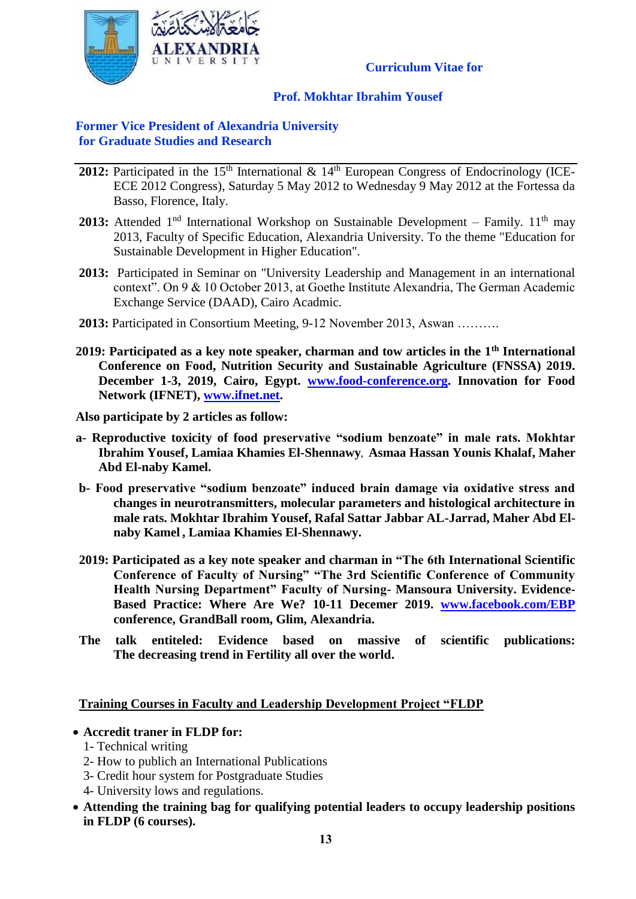

### **Prof. Mokhtar Ibrahim Yousef**

### **Former Vice President of Alexandria University for Graduate Studies and Research**

- **2012:** Participated in the 15<sup>th</sup> International & 14<sup>th</sup> European Congress of Endocrinology (ICE-ECE 2012 Congress), Saturday 5 May 2012 to Wednesday 9 May 2012 at the Fortessa da Basso, Florence, Italy.
- **2013:** Attended 1<sup>nd</sup> International Workshop on Sustainable Development Family. 11<sup>th</sup> may 2013, Faculty of Specific Education, Alexandria University. To the theme "Education for Sustainable Development in Higher Education".
- **2013:** Participated in Seminar on "University Leadership and Management in an international context". On 9 & 10 October 2013, at Goethe Institute Alexandria, The German Academic Exchange Service (DAAD), Cairo Acadmic.
- **2013:** Participated in Consortium Meeting, 9-12 November 2013, Aswan ……….
- **2019: Participated as a key note speaker, charman and tow articles in the 1th International Conference on Food, Nutrition Security and Sustainable Agriculture (FNSSA) 2019. December 1-3, 2019, Cairo, Egypt. [www.food-conference.org.](http://www.food-conference.org/) Innovation for Food Network (IFNET), [www.ifnet.net.](http://www.ifnet.net/)**

**Also participate by 2 articles as follow:**

- **a- Reproductive toxicity of food preservative "sodium benzoate" in male rats. Mokhtar Ibrahim Yousef, Lamiaa Khamies El-Shennawy, Asmaa Hassan Younis Khalaf, Maher Abd El-naby Kamel.**
- **b- Food preservative "sodium benzoate" induced brain damage via oxidative stress and changes in neurotransmitters, molecular parameters and histological architecture in male rats. Mokhtar Ibrahim Yousef, Rafal Sattar Jabbar AL-Jarrad, Maher Abd Elnaby Kamel , Lamiaa Khamies El-Shennawy.**
- **2019: Participated as a key note speaker and charman in "The 6th International Scientific Conference of Faculty of Nursing" "The 3rd Scientific Conference of Community Health Nursing Department" Faculty of Nursing- Mansoura University. Evidence-Based Practice: Where Are We? 10-11 Decemer 2019. [www.facebook.com/EBP](http://www.facebook.com/EBP) conference, GrandBall room, Glim, Alexandria.**
- **The talk entiteled: Evidence based on massive of scientific publications: The decreasing trend in Fertility all over the world.**

### **Training Courses in Faculty and Leadership Development Project "FLDP**

### **Accredit traner in FLDP for:**

- 1- Technical writing
- 2- How to publich an International Publications
- 3- Credit hour system for Postgraduate Studies
- 4- University lows and regulations.
- **Attending the training bag for qualifying potential leaders to occupy leadership positions in FLDP (6 courses).**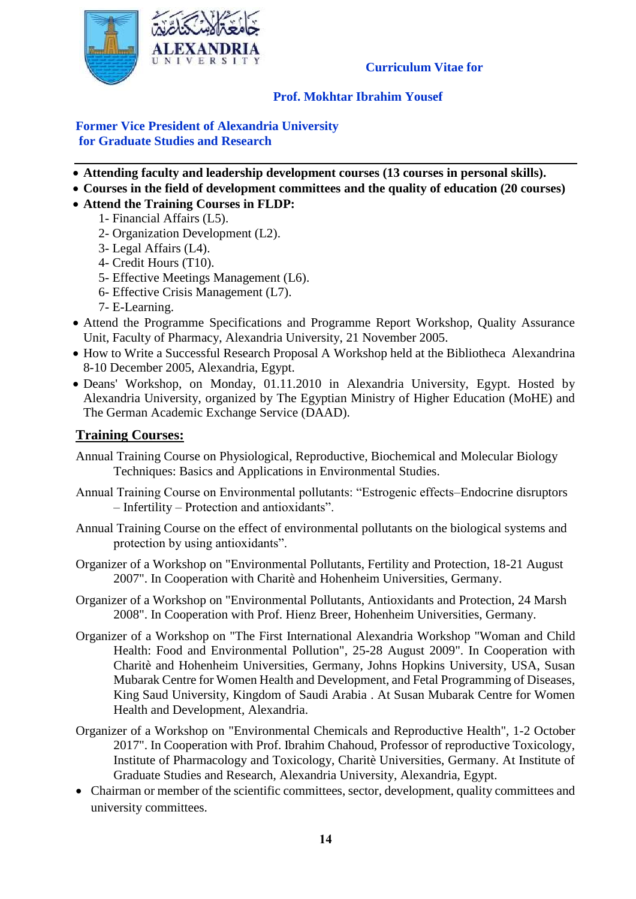

### **Prof. Mokhtar Ibrahim Yousef**

**Former Vice President of Alexandria University for Graduate Studies and Research**

- **Attending faculty and leadership development courses (13 courses in personal skills).**
- **Courses in the field of development committees and the quality of education (20 courses)**
- **Attend the Training Courses in FLDP:**
- 1- Financial Affairs (L5).
	- 2- Organization Development (L2).
	- 3- Legal Affairs (L4).
	- 4- Credit Hours (T10).
	- 5- Effective Meetings Management (L6).
	- 6- Effective Crisis Management (L7).
	- 7- E-Learning.
- Attend the Programme Specifications and Programme Report Workshop, Quality Assurance Unit, Faculty of Pharmacy, Alexandria University, 21 November 2005.
- How to Write a Successful Research Proposal A Workshop held at the Bibliotheca Alexandrina 8-10 December 2005, Alexandria, Egypt.
- Deans' Workshop, on Monday, 01.11.2010 in Alexandria University, Egypt. Hosted by Alexandria University, organized by The Egyptian Ministry of Higher Education (MoHE) and The German Academic Exchange Service (DAAD).

### **Training Courses:**

- Annual Training Course on Physiological, Reproductive, Biochemical and Molecular Biology Techniques: Basics and Applications in Environmental Studies.
- Annual Training Course on Environmental pollutants: "Estrogenic effects–Endocrine disruptors – Infertility – Protection and antioxidants".
- Annual Training Course on the effect of environmental pollutants on the biological systems and protection by using antioxidants".
- Organizer of a Workshop on "Environmental Pollutants, Fertility and Protection, 18-21 August 2007". In Cooperation with Charitè and Hohenheim Universities, Germany.
- Organizer of a Workshop on "Environmental Pollutants, Antioxidants and Protection, 24 Marsh 2008". In Cooperation with Prof. Hienz Breer, Hohenheim Universities, Germany.
- Organizer of a Workshop on "The First International Alexandria Workshop "Woman and Child Health: Food and Environmental Pollution", 25-28 August 2009". In Cooperation with Charitè and Hohenheim Universities, Germany, Johns Hopkins University, USA, Susan Mubarak Centre for Women Health and Development, and Fetal Programming of Diseases, King Saud University, Kingdom of Saudi Arabia . At Susan Mubarak Centre for Women Health and Development, Alexandria.
- Organizer of a Workshop on "Environmental Chemicals and Reproductive Health", 1-2 October 2017". In Cooperation with Prof. Ibrahim Chahoud, Professor of reproductive Toxicology, Institute of Pharmacology and Toxicology, Charitè Universities, Germany. At Institute of Graduate Studies and Research, Alexandria University, Alexandria, Egypt.
- Chairman or member of the scientific committees, sector, development, quality committees and university committees.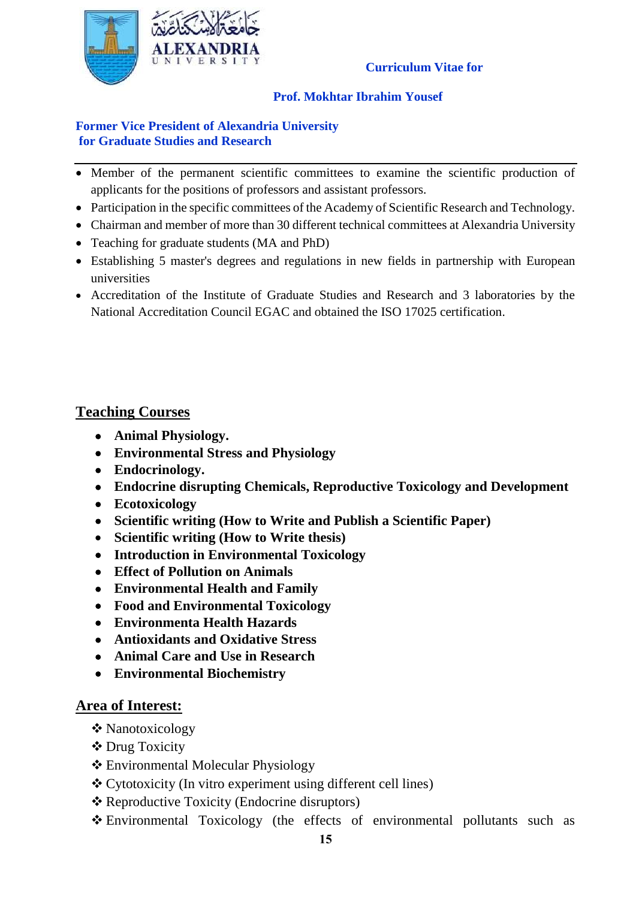

### **Prof. Mokhtar Ibrahim Yousef**

### **Former Vice President of Alexandria University for Graduate Studies and Research**

- Member of the permanent scientific committees to examine the scientific production of applicants for the positions of professors and assistant professors.
- Participation in the specific committees of the Academy of Scientific Research and Technology.
- Chairman and member of more than 30 different technical committees at Alexandria University
- Teaching for graduate students (MA and PhD)
- Establishing 5 master's degrees and regulations in new fields in partnership with European universities
- Accreditation of the Institute of Graduate Studies and Research and 3 laboratories by the National Accreditation Council EGAC and obtained the ISO 17025 certification.

# **Teaching Courses**

- **Animal Physiology.**
- **Environmental Stress and Physiology**
- **Endocrinology.**
- **Endocrine disrupting Chemicals, Reproductive Toxicology and Development**
- **Ecotoxicology**
- **Scientific writing (How to Write and Publish a Scientific Paper)**
- **Scientific writing (How to Write thesis)**
- **Introduction in Environmental Toxicology**
- **Effect of Pollution on Animals**
- **Environmental Health and Family**
- **Food and Environmental Toxicology**
- **Environmenta Health Hazards**
- **Antioxidants and Oxidative Stress**
- **Animal Care and Use in Research**
- **Environmental Biochemistry**

# **Area of Interest:**

- **❖** Nanotoxicology
- Drug Toxicity
- Environmental Molecular Physiology
- Cytotoxicity (In vitro experiment using different cell lines)
- Reproductive Toxicity (Endocrine disruptors)
- Environmental Toxicology (the effects of environmental pollutants such as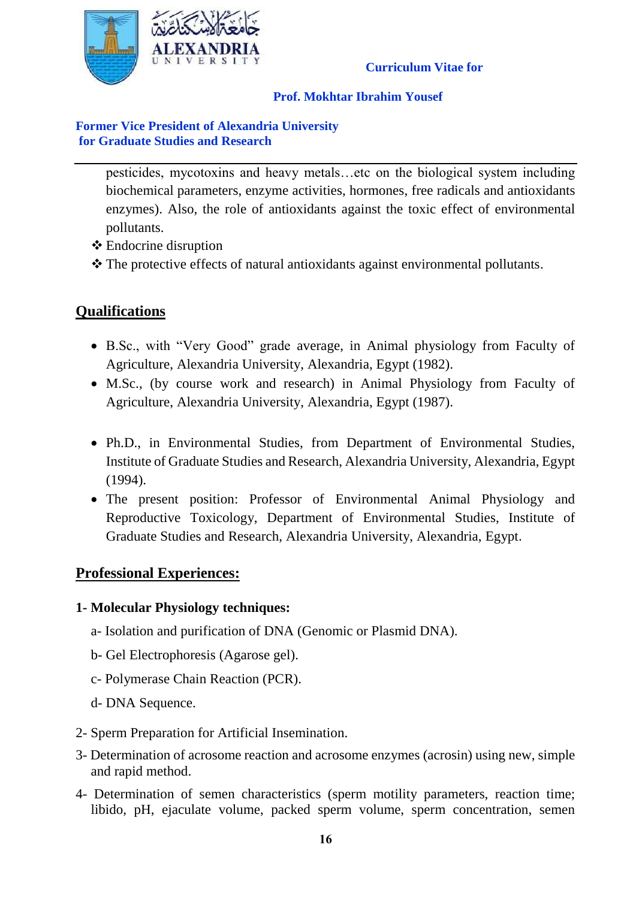

### **Prof. Mokhtar Ibrahim Yousef**

### **Former Vice President of Alexandria University for Graduate Studies and Research**

pesticides, mycotoxins and heavy metals…etc on the biological system including biochemical parameters, enzyme activities, hormones, free radicals and antioxidants enzymes). Also, the role of antioxidants against the toxic effect of environmental pollutants.

- Endocrine disruption
- \* The protective effects of natural antioxidants against environmental pollutants.

# **Qualifications**

- B.Sc., with "Very Good" grade average, in Animal physiology from Faculty of Agriculture, Alexandria University, Alexandria, Egypt (1982).
- M.Sc., (by course work and research) in Animal Physiology from Faculty of Agriculture, Alexandria University, Alexandria, Egypt (1987).
- Ph.D., in Environmental Studies, from Department of Environmental Studies, Institute of Graduate Studies and Research, Alexandria University, Alexandria, Egypt (1994).
- The present position: Professor of Environmental Animal Physiology and Reproductive Toxicology, Department of Environmental Studies, Institute of Graduate Studies and Research, Alexandria University, Alexandria, Egypt.

### **Professional Experiences:**

### **1- Molecular Physiology techniques:**

- a- Isolation and purification of DNA (Genomic or Plasmid DNA).
- b- Gel Electrophoresis (Agarose gel).
- c- Polymerase Chain Reaction (PCR).
- d- DNA Sequence.
- 2- Sperm Preparation for Artificial Insemination.
- 3- Determination of acrosome reaction and acrosome enzymes (acrosin) using new, simple and rapid method.
- 4- Determination of semen characteristics (sperm motility parameters, reaction time; libido, pH, ejaculate volume, packed sperm volume, sperm concentration, semen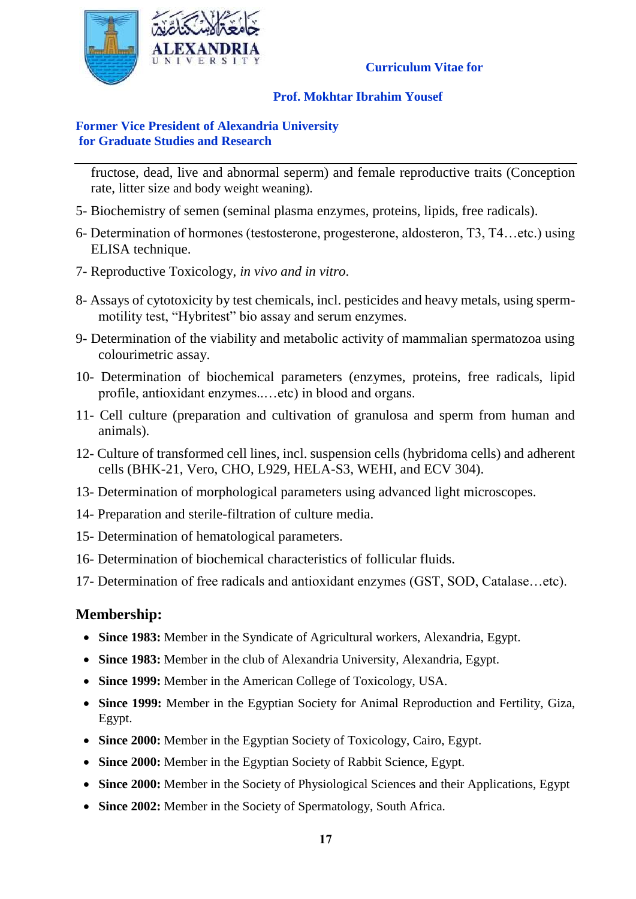

### **Prof. Mokhtar Ibrahim Yousef**

### **Former Vice President of Alexandria University for Graduate Studies and Research**

fructose, dead, live and abnormal seperm) and female reproductive traits (Conception rate, litter size and body weight weaning).

- 5- Biochemistry of semen (seminal plasma enzymes, proteins, lipids, free radicals).
- 6- Determination of hormones (testosterone, progesterone, aldosteron, T3, T4…etc.) using ELISA technique.
- 7- Reproductive Toxicology, *in vivo and in vitro*.
- 8- Assays of cytotoxicity by test chemicals, incl. pesticides and heavy metals, using spermmotility test, "Hybritest" bio assay and serum enzymes.
- 9- Determination of the viability and metabolic activity of mammalian spermatozoa using colourimetric assay.
- 10- Determination of biochemical parameters (enzymes, proteins, free radicals, lipid profile, antioxidant enzymes..…etc) in blood and organs.
- 11- Cell culture (preparation and cultivation of granulosa and sperm from human and animals).
- 12- Culture of transformed cell lines, incl. suspension cells (hybridoma cells) and adherent cells (BHK-21, Vero, CHO, L929, HELA-S3, WEHI, and ECV 304).
- 13- Determination of morphological parameters using advanced light microscopes.
- 14- Preparation and sterile-filtration of culture media.
- 15- Determination of hematological parameters.
- 16- Determination of biochemical characteristics of follicular fluids.
- 17- Determination of free radicals and antioxidant enzymes (GST, SOD, Catalase…etc).

# **Membership:**

- **Since 1983:** Member in the Syndicate of Agricultural workers, Alexandria, Egypt.
- **Since 1983:** Member in the club of Alexandria University, Alexandria, Egypt.
- **Since 1999:** Member in the American College of Toxicology, USA.
- **Since 1999:** Member in the Egyptian Society for Animal Reproduction and Fertility, Giza, Egypt.
- **Since 2000:** Member in the Egyptian Society of Toxicology, Cairo, Egypt.
- **Since 2000:** Member in the Egyptian Society of Rabbit Science, Egypt.
- **Since 2000:** Member in the Society of Physiological Sciences and their Applications, Egypt
- **Since 2002:** Member in the Society of Spermatology, South Africa.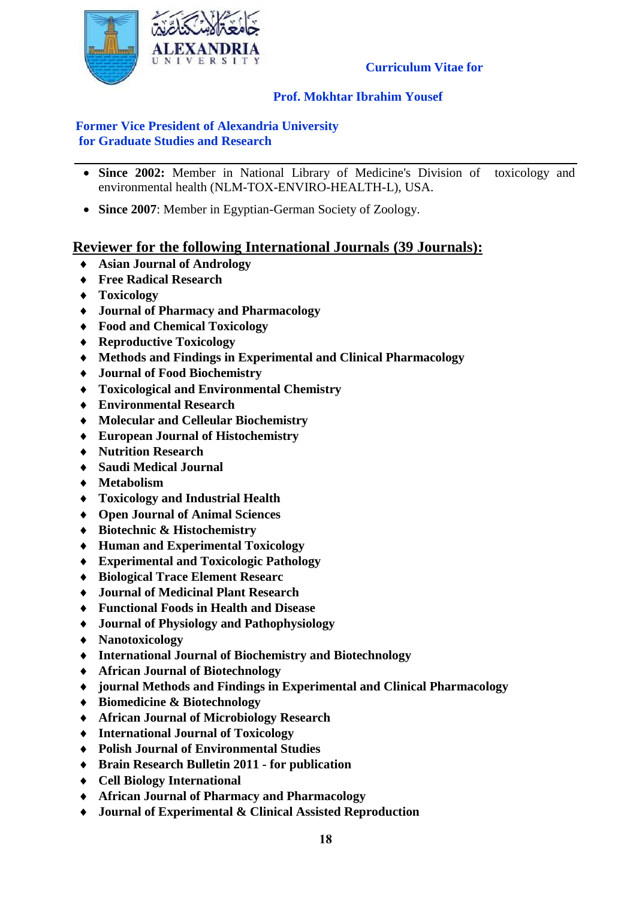

### **Prof. Mokhtar Ibrahim Yousef**

### **Former Vice President of Alexandria University for Graduate Studies and Research**

- **Since 2002:** Member in National Library of Medicine's Division of toxicology and environmental health (NLM-TOX-ENVIRO-HEALTH-L), USA.
- **Since 2007**: Member in Egyptian-German Society of Zoology.

# **Reviewer for the following International Journals (39 Journals):**

- **Asian Journal of Andrology**
- **Free Radical Research**
- **Toxicology**
- **Journal of Pharmacy and Pharmacology**
- **Food and Chemical Toxicology**
- **Reproductive Toxicology**
- **Methods and Findings in Experimental and Clinical Pharmacology**
- **Journal of Food Biochemistry**
- **Toxicological and Environmental Chemistry**
- **Environmental Research**
- **Molecular and Celleular Biochemistry**
- **European Journal of Histochemistry**
- **Nutrition Research**
- **Saudi Medical Journal**
- **Metabolism**
- **Toxicology and Industrial Health**
- **Open Journal of Animal Sciences**
- **Biotechnic & Histochemistry**
- **Human and Experimental Toxicology**
- **Experimental and Toxicologic Pathology**
- **Biological Trace Element Researc**
- **Journal of Medicinal Plant Research**
- **Functional Foods in Health and Disease**
- **Journal of Physiology and Pathophysiology**
- **Nanotoxicology**
- **International Journal of Biochemistry and Biotechnology**
- **African Journal of Biotechnology**
- **journal Methods and Findings in Experimental and Clinical Pharmacology**
- **Biomedicine & Biotechnology**
- **African Journal of Microbiology Research**
- **International Journal of Toxicology**
- **Polish Journal of Environmental Studies**
- **Brain Research Bulletin 2011 - for publication**
- **Cell Biology International**
- **African Journal of Pharmacy and Pharmacology**
- **Journal of Experimental & Clinical Assisted Reproduction**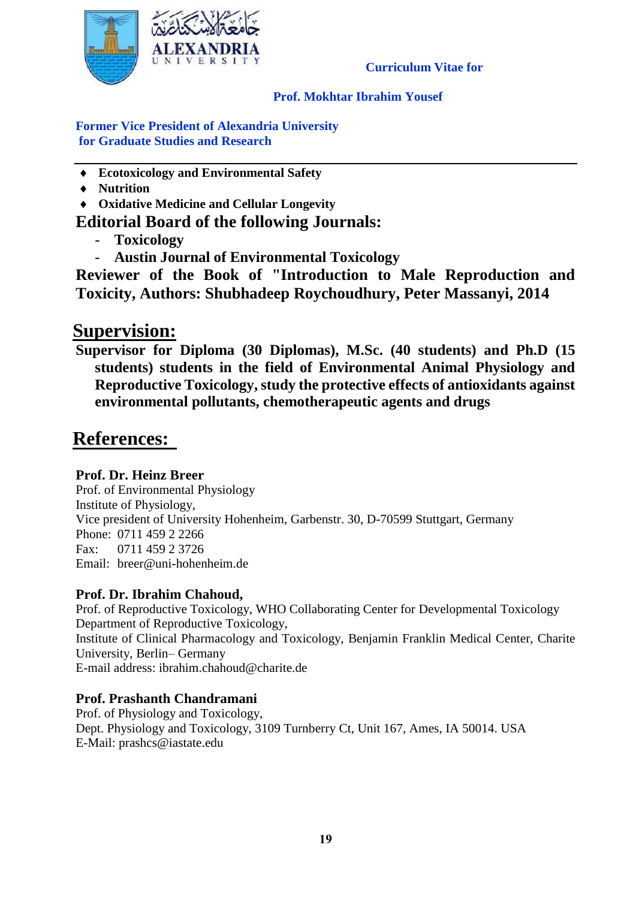

### **Prof. Mokhtar Ibrahim Yousef**

**Former Vice President of Alexandria University for Graduate Studies and Research**

- **Ecotoxicology and Environmental Safety**
- **Nutrition**
- **Oxidative Medicine and Cellular Longevity**

# **Editorial Board of the following Journals:**

- **Toxicology**
- **Austin Journal of Environmental Toxicology**

**Reviewer of the Book of "Introduction to Male Reproduction and Toxicity, Authors: Shubhadeep Roychoudhury, Peter Massanyi, 2014**

# **Supervision:**

**Supervisor for Diploma (30 Diplomas), M.Sc. (40 students) and Ph.D (15 students) students in the field of Environmental Animal Physiology and Reproductive Toxicology, study the protective effects of antioxidants against environmental pollutants, chemotherapeutic agents and drugs**

# **References:**

### **Prof. Dr. Heinz Breer**

Prof. of Environmental Physiology Institute of Physiology, Vice president of University Hohenheim, Garbenstr. 30, D-70599 Stuttgart, Germany Phone: 0711 459 2 2266 Fax: 0711 459 2 3726 Email: [breer@uni-hohenheim.de](mailto:breer@uni-hohenheim.de)

# **Prof. Dr. Ibrahim Chahoud,**

Prof. of Reproductive Toxicology, WHO Collaborating Center for Developmental Toxicology Department of Reproductive Toxicology, Institute of Clinical Pharmacology and Toxicology, Benjamin Franklin Medical Center, Charite University, Berlin– Germany E-mail address: [ibrahim.chahoud@charite.de](mailto:ibrahim.chahoud@charite.de)

# **Prof. Prashanth Chandramani**

Prof. of Physiology and Toxicology, Dept. Physiology and Toxicology, 3109 Turnberry Ct, Unit 167, Ames, IA 50014. USA E-Mail: [prashcs@iastate.edu](mailto:prashcs@iastate.edu)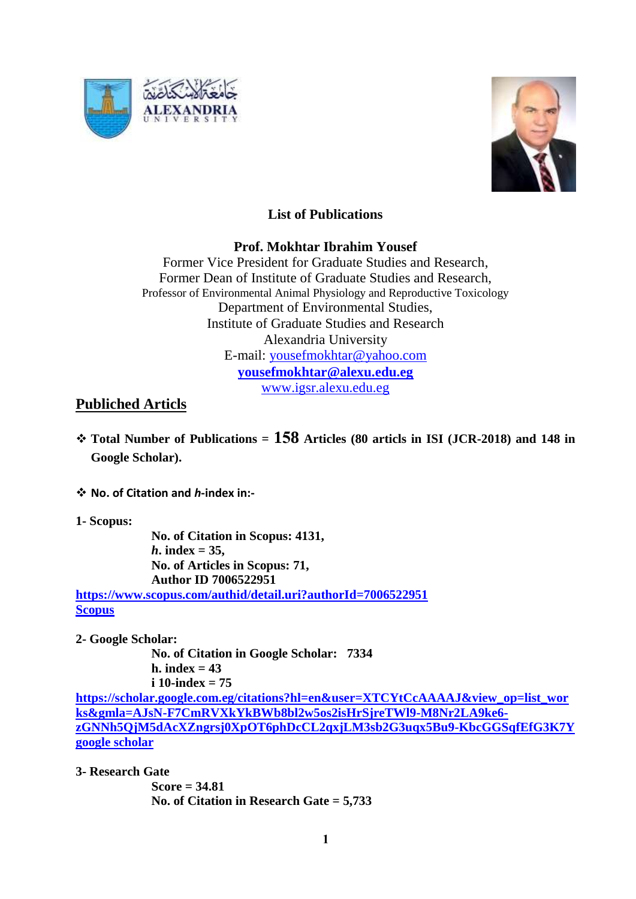



## **List of Publications**

### **Prof. Mokhtar Ibrahim Yousef**

Former Vice President for Graduate Studies and Research, Former Dean of Institute of Graduate Studies and Research, Professor of Environmental Animal Physiology and Reproductive Toxicology Department of Environmental Studies, Institute of Graduate Studies and Research Alexandria University E-mail: [yousefmokhtar@yahoo.com](mailto:yousefmokhtar@yahoo.com) **[yousefmokhtar@alexu.edu.eg](mailto:yousefmokhtar@alexu.edu.eg)** [www.igsr.alexu.edu.eg](http://www.igsr.alexu.edu.eg/)

## **Publiched Articls**

- **Total Number of Publications = 158 Articles (80 articls in ISI (JCR-2018) and 148 in Google Scholar).**
- **No. of Citation and** *h***-index in:-**
- **1- Scopus:**

**No. of Citation in Scopus: 4131,**  *h***. index = 35, No. of Articles in Scopus: 71, Author ID 7006522951 <https://www.scopus.com/authid/detail.uri?authorId=7006522951>**

**[Scopus](https://www.scopus.com/authid/detail.uri?authorId=7006522951)**

**2- Google Scholar:**

**No. of Citation in Google Scholar: 7334 h. index = 43 i 10-index = 75**

**[https://scholar.google.com.eg/citations?hl=en&user=XTCYtCcAAAAJ&view\\_op=list\\_wor](https://scholar.google.com.eg/citations?hl=en&user=XTCYtCcAAAAJ&view_op=list_works&gmla=AJsN-F7CmRVXkYkBWb8bl2w5os2isHrSjreTWl9-M8Nr2LA9ke6-zGNNh5QjM5dAcXZngrsj0XpOT6phDcCL2qxjLM3sb2G3uqx5Bu9-KbcGGSqfEfG3K7Y) [ks&gmla=AJsN-F7CmRVXkYkBWb8bl2w5os2isHrSjreTWl9-M8Nr2LA9ke6](https://scholar.google.com.eg/citations?hl=en&user=XTCYtCcAAAAJ&view_op=list_works&gmla=AJsN-F7CmRVXkYkBWb8bl2w5os2isHrSjreTWl9-M8Nr2LA9ke6-zGNNh5QjM5dAcXZngrsj0XpOT6phDcCL2qxjLM3sb2G3uqx5Bu9-KbcGGSqfEfG3K7Y) [zGNNh5QjM5dAcXZngrsj0XpOT6phDcCL2qxjLM3sb2G3uqx5Bu9-KbcGGSqfEfG3K7Y](https://scholar.google.com.eg/citations?hl=en&user=XTCYtCcAAAAJ&view_op=list_works&gmla=AJsN-F7CmRVXkYkBWb8bl2w5os2isHrSjreTWl9-M8Nr2LA9ke6-zGNNh5QjM5dAcXZngrsj0XpOT6phDcCL2qxjLM3sb2G3uqx5Bu9-KbcGGSqfEfG3K7Y) [google scholar](https://scholar.google.com.eg/citations?hl=en&user=XTCYtCcAAAAJ&view_op=list_works&gmla=AJsN-F7CmRVXkYkBWb8bl2w5os2isHrSjreTWl9-M8Nr2LA9ke6-zGNNh5QjM5dAcXZngrsj0XpOT6phDcCL2qxjLM3sb2G3uqx5Bu9-KbcGGSqfEfG3K7Y)**

**3- Research Gate**

**Score = 34.81 No. of Citation in Research Gate = 5,733**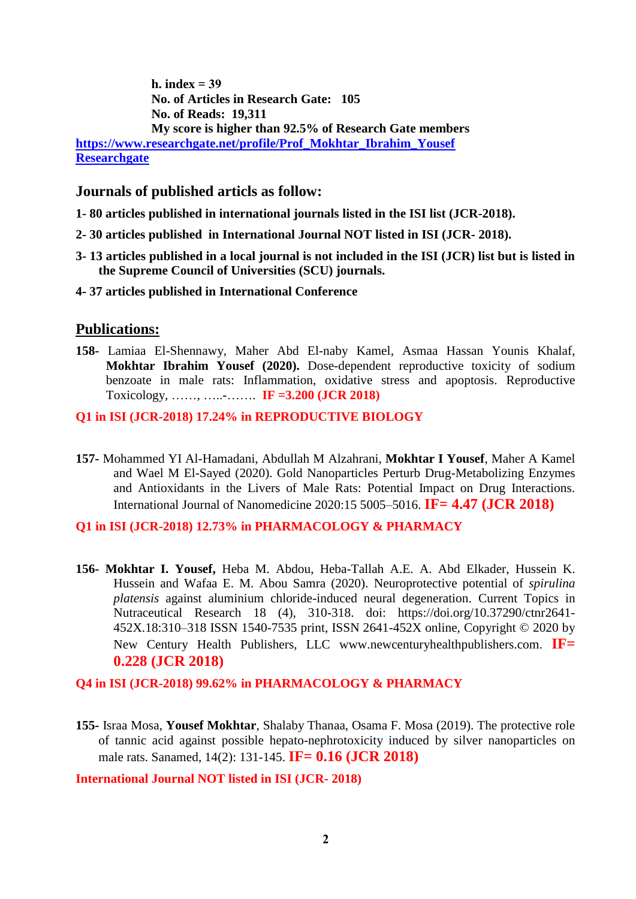**h. index = 39 No. of Articles in Research Gate: 105 No. of Reads: 19,311 My score is higher than 92.5% of Research Gate members [https://www.researchgate.net/profile/Prof\\_Mokhtar\\_Ibrahim\\_Yousef](https://www.researchgate.net/profile/Prof_Mokhtar_Ibrahim_Yousef) [Researchgate](https://www.researchgate.net/profile/Prof_Mokhtar_Ibrahim_Yousef)**

### **Journals of published articls as follow:**

- **1- 80 articles published in international journals listed in the ISI list (JCR-2018).**
- **2- 30 articles published in International Journal NOT listed in ISI (JCR- 2018).**
- **3- 13 articles published in a local journal is not included in the ISI (JCR) list but is listed in the Supreme Council of Universities (SCU) journals.**
- **4- 37 articles published in International Conference**

#### **Publications:**

**158-** Lamiaa El-Shennawy, Maher Abd El-naby Kamel, Asmaa Hassan Younis Khalaf, **Mokhtar Ibrahim Yousef (2020).** Dose-dependent reproductive toxicity of sodium benzoate in male rats: Inflammation, oxidative stress and apoptosis. Reproductive Toxicology, ……, …..-……. **IF =3.200 (JCR 2018)**

#### **Q1 in ISI (JCR-2018) 17.24% in REPRODUCTIVE BIOLOGY**

**157-** Mohammed YI Al-Hamadani, Abdullah M Alzahrani, **Mokhtar I Yousef**, Maher A Kamel and Wael M El-Sayed (2020). Gold Nanoparticles Perturb Drug-Metabolizing Enzymes and Antioxidants in the Livers of Male Rats: Potential Impact on Drug Interactions. International Journal of Nanomedicine 2020:15 5005–5016. **IF= 4.47 (JCR 2018)**

#### **Q1 in ISI (JCR-2018) 12.73% in PHARMACOLOGY & PHARMACY**

**156- Mokhtar I. Yousef,** Heba M. Abdou, Heba-Tallah A.E. A. Abd Elkader, Hussein K. Hussein and Wafaa E. M. Abou Samra (2020). Neuroprotective potential of *spirulina platensis* against aluminium chloride-induced neural degeneration. Current Topics in Nutraceutical Research 18 (4), 310-318. doi: https://doi.org/10.37290/ctnr2641- 452X.18:310–318 ISSN 1540-7535 print, ISSN 2641-452X online, Copyright © 2020 by New Century Health Publishers, LLC www.newcenturyhealthpublishers.com. **IF= 0.228 (JCR 2018)**

**Q4 in ISI (JCR-2018) 99.62% in PHARMACOLOGY & PHARMACY**

**155-** Israa Mosa, **Yousef Mokhtar**, Shalaby Thanaa, Osama F. Mosa (2019). The protective role of tannic acid against possible hepato-nephrotoxicity induced by silver nanoparticles on male rats. Sanamed, 14(2): 131-145. **IF= 0.16 (JCR 2018)**

**International Journal NOT listed in ISI (JCR- 2018)**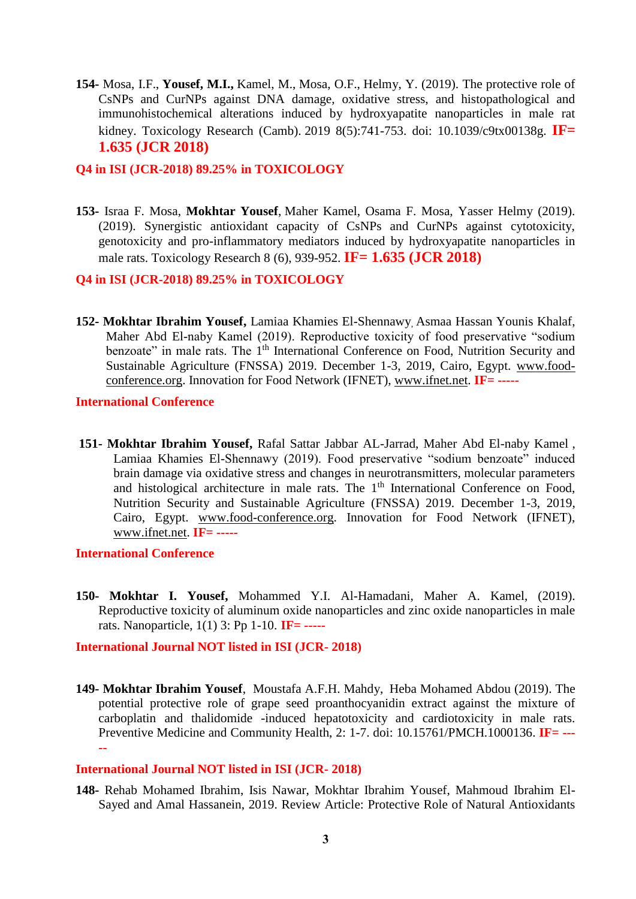**154-** Mosa, I.F., **Yousef, M.I.,** Kamel, M., Mosa, O.F., Helmy, Y. (2019). The protective role of CsNPs and CurNPs against DNA damage, oxidative stress, and histopathological and immunohistochemical alterations induced by hydroxyapatite nanoparticles in male rat kidney. [Toxicology Research \(Camb\).](https://www.ncbi.nlm.nih.gov/pubmed/31588351) 2019 8(5):741-753. doi: 10.1039/c9tx00138g. **IF= 1.635 (JCR 2018)**

#### **Q4 in ISI (JCR-2018) 89.25% in TOXICOLOGY**

**153-** Israa F. Mosa, **Mokhtar Yousef**, Maher Kamel, Osama F. Mosa, Yasser Helmy (2019). (2019). Synergistic antioxidant capacity of CsNPs and CurNPs against cytotoxicity, genotoxicity and pro-inflammatory mediators induced by hydroxyapatite nanoparticles in male rats. Toxicology Research 8 (6), 939-952. **IF= 1.635 (JCR 2018)**

#### **Q4 in ISI (JCR-2018) 89.25% in TOXICOLOGY**

**152- Mokhtar Ibrahim Yousef,** Lamiaa Khamies El-Shennawy, Asmaa Hassan Younis Khalaf, Maher Abd El-naby Kamel (2019). Reproductive toxicity of food preservative "sodium benzoate" in male rats. The 1<sup>th</sup> International Conference on Food, Nutrition Security and Sustainable Agriculture (FNSSA) 2019. December 1-3, 2019, Cairo, Egypt. [www.food](http://www.food-conference.org/)[conference.org.](http://www.food-conference.org/) Innovation for Food Network (IFNET), [www.ifnet.net.](http://www.ifnet.net/) **IF= -----**

**International Conference**

**151- Mokhtar Ibrahim Yousef,** Rafal Sattar Jabbar AL-Jarrad, Maher Abd El-naby Kamel , Lamiaa Khamies El-Shennawy (2019). Food preservative "sodium benzoate" induced brain damage via oxidative stress and changes in neurotransmitters, molecular parameters and histological architecture in male rats. The  $1<sup>th</sup>$  International Conference on Food, Nutrition Security and Sustainable Agriculture (FNSSA) 2019. December 1-3, 2019, Cairo, Egypt. [www.food-conference.org.](http://www.food-conference.org/) Innovation for Food Network (IFNET), [www.ifnet.net.](http://www.ifnet.net/) **IF= -----**

#### **International Conference**

**150- Mokhtar I. Yousef,** Mohammed Y.I. Al-Hamadani, Maher A. Kamel, (2019). Reproductive toxicity of aluminum oxide nanoparticles and zinc oxide nanoparticles in male rats. Nanoparticle, 1(1) 3: Pp 1-10. **IF= -----**

**International Journal NOT listed in ISI (JCR- 2018)**

**149- Mokhtar Ibrahim Yousef**, Moustafa A.F.H. Mahdy, Heba Mohamed Abdou (2019). The potential protective role of grape seed proanthocyanidin extract against the mixture of carboplatin and thalidomide -induced hepatotoxicity and cardiotoxicity in male rats. Preventive Medicine and Community Health, 2: 1-7. doi: 10.15761/PMCH.1000136. **IF= --- --**

#### **International Journal NOT listed in ISI (JCR- 2018)**

**148-** Rehab Mohamed Ibrahim, Isis Nawar, Mokhtar Ibrahim Yousef, Mahmoud Ibrahim El-Sayed and Amal Hassanein, 2019. Review Article: Protective Role of Natural Antioxidants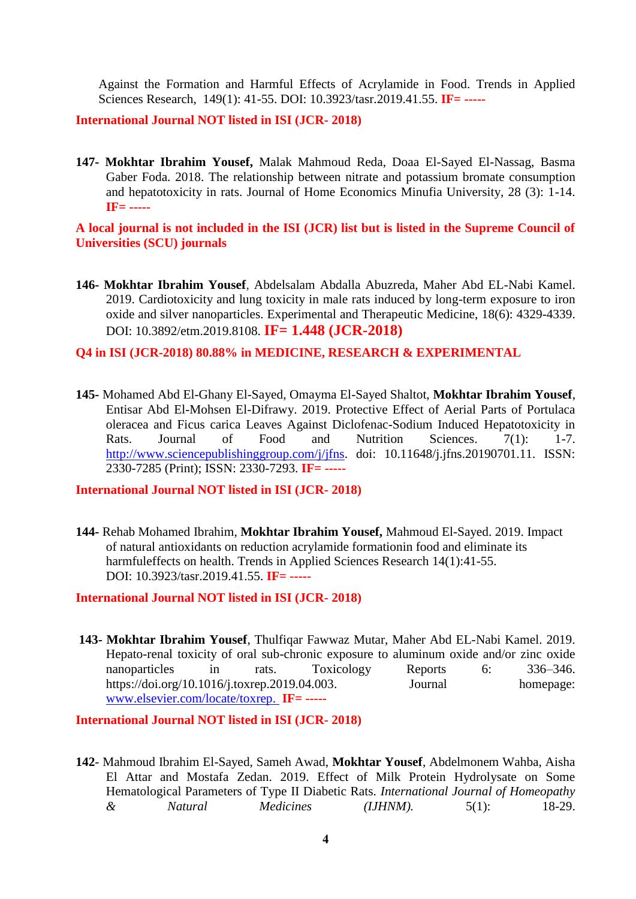Against the Formation and Harmful Effects of Acrylamide in Food. Trends in Applied Sciences Research, 149(1): 41-55. DOI: 10.3923/tasr.2019.41.55. **IF= -----**

**International Journal NOT listed in ISI (JCR- 2018)**

**147- Mokhtar Ibrahim Yousef,** Malak Mahmoud Reda, Doaa El-Sayed El-Nassag, Basma Gaber Foda. 2018. The relationship between nitrate and potassium bromate consumption and hepatotoxicity in rats. Journal of Home Economics Minufia University, 28 (3): 1-14. **IF= -----**

**A local journal is not included in the ISI (JCR) list but is listed in the Supreme Council of Universities (SCU) journals**

**146- Mokhtar Ibrahim Yousef**, Abdelsalam Abdalla Abuzreda, Maher Abd EL-Nabi Kamel. 2019. Cardiotoxicity and lung toxicity in male rats induced by long-term exposure to iron oxide and silver nanoparticles. Experimental and Therapeutic Medicine, 18(6): 4329-4339. DOI: 10.3892/etm.2019.8108. **IF= 1.448 (JCR-2018)**

#### **Q4 in ISI (JCR-2018) 80.88% in MEDICINE, RESEARCH & EXPERIMENTAL**

**145-** Mohamed Abd El-Ghany El-Sayed, Omayma El-Sayed Shaltot, **Mokhtar Ibrahim Yousef**, Entisar Abd El-Mohsen El-Difrawy. 2019. Protective Effect of Aerial Parts of Portulaca oleracea and Ficus carica Leaves Against Diclofenac-Sodium Induced Hepatotoxicity in Rats. Journal of Food and Nutrition Sciences. 7(1): 1-7. [http://www.sciencepublishinggroup.com/j/jfns.](http://www.sciencepublishinggroup.com/j/jfns) doi: 10.11648/j.jfns.20190701.11. ISSN: 2330-7285 (Print); ISSN: 2330-7293. **IF= -----**

#### **International Journal NOT listed in ISI (JCR- 2018)**

**144-** Rehab Mohamed Ibrahim, **Mokhtar Ibrahim Yousef,** Mahmoud El-Sayed. 2019. Impact of natural antioxidants on reduction acrylamide formationin food and eliminate its harmfuleffects on health. Trends in Applied Sciences Research 14(1):41-55. DOI: [10.3923/tasr.2019.41.55.](http://dx.doi.org/10.3923/tasr.2019.41.55) **IF= -----**

**International Journal NOT listed in ISI (JCR- 2018)**

**143- Mokhtar Ibrahim Yousef**, Thulfiqar Fawwaz Mutar, Maher Abd EL-Nabi Kamel. 2019. Hepato-renal toxicity of oral sub-chronic exposure to aluminum oxide and/or zinc oxide nanoparticles in rats. Toxicology Reports 6: 336–346. [https://doi.org/10.1016/j.toxrep.2019.04.003.](https://doi.org/10.1016/j.toxrep.2019.04.003) Journal homepage: [www.elsevier.com/locate/toxrep.](http://www.elsevier.com/locate/toxrep) **IF= -----**

**International Journal NOT listed in ISI (JCR- 2018)**

**142**- Mahmoud Ibrahim El-Sayed, Sameh Awad, **Mokhtar Yousef**, Abdelmonem Wahba, Aisha El Attar and Mostafa Zedan. 2019. Effect of Milk Protein Hydrolysate on Some Hematological Parameters of Type II Diabetic Rats. *International Journal of Homeopathy & Natural Medicines (IJHNM).* 5(1): 18-29.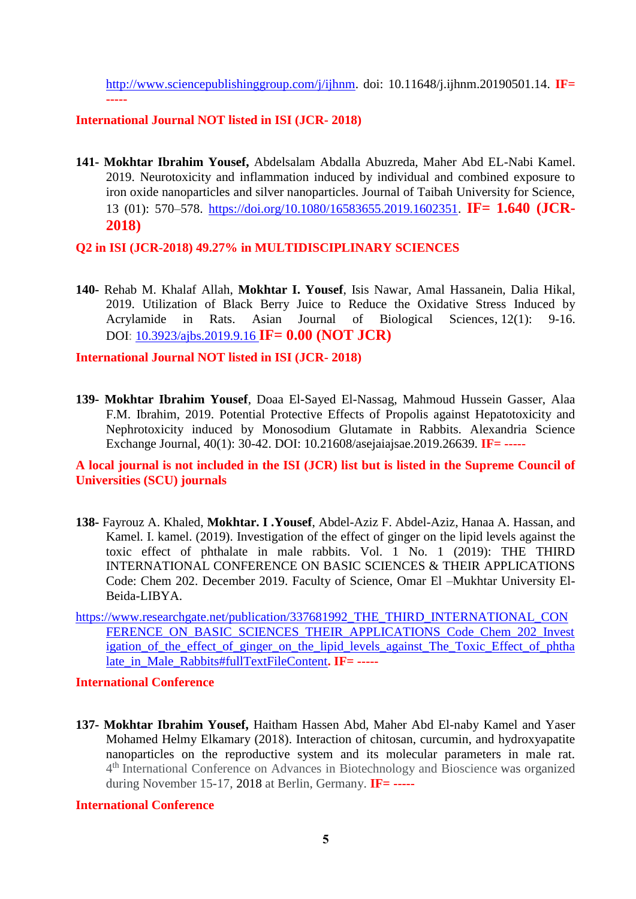[http://www.sciencepublishinggroup.com/j/ijhnm.](http://www.sciencepublishinggroup.com/j/ijhnm) doi: 10.11648/j.ijhnm.20190501.14. **IF= -----**

#### **International Journal NOT listed in ISI (JCR- 2018)**

**141- Mokhtar Ibrahim Yousef,** Abdelsalam Abdalla Abuzreda, Maher Abd EL-Nabi Kamel. 2019. Neurotoxicity and inflammation induced by individual and combined exposure to iron oxide nanoparticles and silver nanoparticles. Journal of Taibah University for Science, 13 (01): 570–578. [https://doi.org/10.1080/16583655.2019.1602351.](https://doi.org/10.1080/16583655.2019.1602351) **IF= 1.640 (JCR-2018)**

**Q2 in ISI (JCR-2018) 49.27% in MULTIDISCIPLINARY SCIENCES**

**140-** Rehab M. Khalaf Allah, **Mokhtar I. Yousef**, Isis Nawar, Amal Hassanein, Dalia Hikal, 2019. Utilization of Black Berry Juice to Reduce the Oxidative Stress Induced by Acrylamide in Rats. Asian Journal of Biological Sciences, 12(1): 9-16. DOI: [10.3923/ajbs.2019.9.16](https://www.researchgate.net/deref/http%3A%2F%2Fdx.doi.org%2F10.3923%2Fajbs.2019.9.16?_sg%5B0%5D=B_-F1nZCabn7yQ0llFDGyn-6VTLmiO7YrpIriujgWL_O1d0NXm3VonAJxvxxcB-BdZ_vPX8hBlAdk81fIi1hDiD-qQ.dM_XxIQwlr9zETTUFqL0yL2OBlIN57egWyk-PqMLq4QxLikWQfJl3a_wnLjQkXuYdPsb_Y6yJFib8mXcwPhsew) **IF= 0.00 (NOT JCR)**

**International Journal NOT listed in ISI (JCR- 2018)**

**139- Mokhtar Ibrahim Yousef**, Doaa El-Sayed El-Nassag, Mahmoud Hussein Gasser, Alaa F.M. Ibrahim, 2019. Potential Protective Effects of Propolis against Hepatotoxicity and Nephrotoxicity induced by Monosodium Glutamate in Rabbits. Alexandria Science Exchange Journal, 40(1): 30-42. DOI: 10.21608/asejaiajsae.2019.26639. **IF= -----**

**A local journal is not included in the ISI (JCR) list but is listed in the Supreme Council of Universities (SCU) journals**

- **138-** Fayrouz A. Khaled, **Mokhtar. I .Yousef**, Abdel-Aziz F. Abdel-Aziz, Hanaa A. Hassan, and Kamel. I. kamel. (2019). Investigation of the effect of ginger on the lipid levels against the toxic effect of phthalate in male rabbits. Vol. 1 No. 1 (2019): THE THIRD INTERNATIONAL CONFERENCE ON BASIC SCIENCES & THEIR APPLICATIONS Code: Chem 202. December 2019. Faculty of Science, Omar El –Mukhtar University El-Beida-LIBYA.
- [https://www.researchgate.net/publication/337681992\\_THE\\_THIRD\\_INTERNATIONAL\\_CON](https://www.researchgate.net/publication/337681992_THE_THIRD_INTERNATIONAL_CONFERENCE_ON_BASIC_SCIENCES_THEIR_APPLICATIONS_Code_Chem_202_Investigation_of_the_effect_of_ginger_on_the_lipid_levels_against_The_Toxic_Effect_of_phthalate_in_Male_Rabbits#fullTextFileContent) FERENCE ON BASIC SCIENCES THEIR APPLICATIONS Code Chem 202 Invest igation of the effect of ginger on the lipid levels against The Toxic Effect of phtha [late\\_in\\_Male\\_Rabbits#fullTextFileContent](https://www.researchgate.net/publication/337681992_THE_THIRD_INTERNATIONAL_CONFERENCE_ON_BASIC_SCIENCES_THEIR_APPLICATIONS_Code_Chem_202_Investigation_of_the_effect_of_ginger_on_the_lipid_levels_against_The_Toxic_Effect_of_phthalate_in_Male_Rabbits#fullTextFileContent). IF= -----

#### **International Conference**

**137- Mokhtar Ibrahim Yousef,** Haitham Hassen Abd, Maher Abd El-naby Kamel and Yaser Mohamed Helmy Elkamary (2018). Interaction of chitosan, curcumin, and hydroxyapatite nanoparticles on the reproductive system and its molecular parameters in male rat. 4<sup>th</sup> International Conference on Advances in Biotechnology and Bioscience was organized during November 15-17, 2018 at Berlin, Germany. **IF= -----**

#### **International Conference**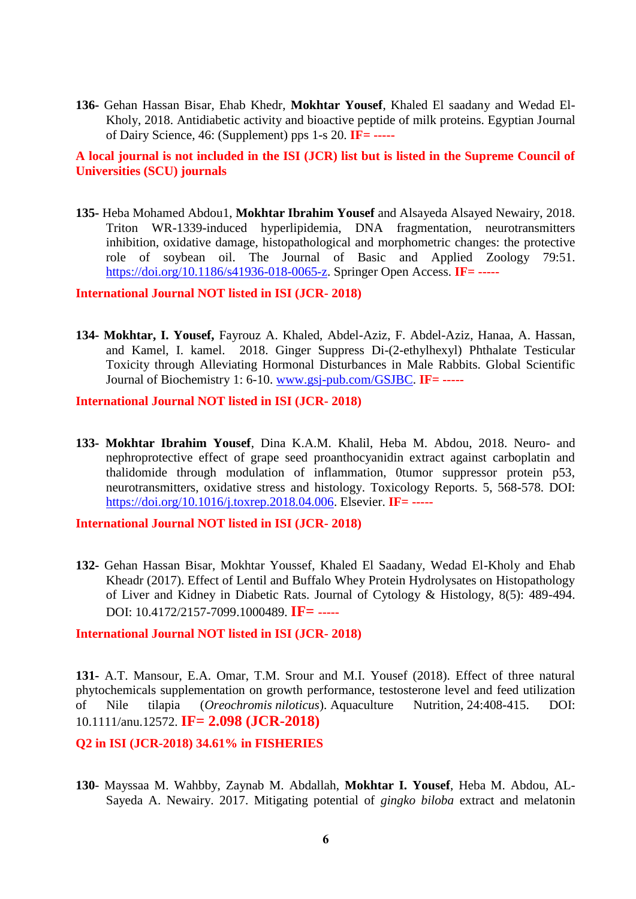**136-** Gehan Hassan Bisar, Ehab Khedr, **Mokhtar Yousef**, Khaled El saadany and Wedad El-Kholy, 2018. Antidiabetic activity and bioactive peptide of milk proteins. Egyptian Journal of Dairy Science, 46: (Supplement) pps 1-s 20. **IF= -----**

**A local journal is not included in the ISI (JCR) list but is listed in the Supreme Council of Universities (SCU) journals**

**135-** Heba Mohamed Abdou1, **Mokhtar Ibrahim Yousef** and Alsayeda Alsayed Newairy, 2018. Triton WR-1339-induced hyperlipidemia, DNA fragmentation, neurotransmitters inhibition, oxidative damage, histopathological and morphometric changes: the protective role of soybean oil. The Journal of Basic and Applied Zoology 79:51. [https://doi.org/10.1186/s41936-018-0065-z.](https://doi.org/10.1186/s41936-018-0065-z) Springer Open Access. **IF= -----**

**International Journal NOT listed in ISI (JCR- 2018)**

**134- Mokhtar, I. Yousef,** Fayrouz A. Khaled, Abdel-Aziz, F. Abdel-Aziz, Hanaa, A. Hassan, and Kamel, I. kamel. 2018. Ginger Suppress Di-(2-ethylhexyl) Phthalate Testicular Toxicity through Alleviating Hormonal Disturbances in Male Rabbits. Global Scientific Journal of Biochemistry 1: 6-10. [www.gsj-pub.com/GSJBC.](http://www.gsj-pub.com/GSJBC) **IF= -----**

**International Journal NOT listed in ISI (JCR- 2018)**

**133- Mokhtar Ibrahim Yousef**, Dina K.A.M. Khalil, Heba M. Abdou, 2018. Neuro- and nephroprotective effect of grape seed proanthocyanidin extract against carboplatin and thalidomide through modulation of inflammation, 0tumor suppressor protein p53, neurotransmitters, oxidative stress and histology. Toxicology Reports. 5, 568-578. DOI: [https://doi.org/10.1016/j.toxrep.2018.04.006.](https://doi.org/10.1016/j.toxrep.2018.04.006) Elsevier. **IF= -----**

**International Journal NOT listed in ISI (JCR- 2018)**

**132-** Gehan Hassan Bisar, Mokhtar Youssef, Khaled El Saadany, Wedad El-Kholy and Ehab Kheadr (2017). Effect of Lentil and Buffalo Whey Protein Hydrolysates on Histopathology of Liver and Kidney in Diabetic Rats. Journal of Cytology & Histology, 8(5): 489-494. DOI: 10.4172/2157-7099.1000489. **IF= -----**

#### **International Journal NOT listed in ISI (JCR- 2018)**

**131-** A.T. Mansour, E.A. Omar, T.M. Srour and M.I. Yousef (2018). Effect of three natural phytochemicals supplementation on growth performance, testosterone level and feed utilization of Nile tilapia (*Oreochromis niloticus*). Aquaculture Nutrition, 24:408-415. DOI: 10.1111/anu.12572. **IF= 2.098 (JCR-2018)**

#### **Q2 in ISI (JCR-2018) 34.61% in FISHERIES**

**130**- Mayssaa M. Wahbby, Zaynab M. Abdallah, **Mokhtar I. Yousef**, Heba M. Abdou, AL-Sayeda A. Newairy. 2017. Mitigating potential of *gingko biloba* extract and melatonin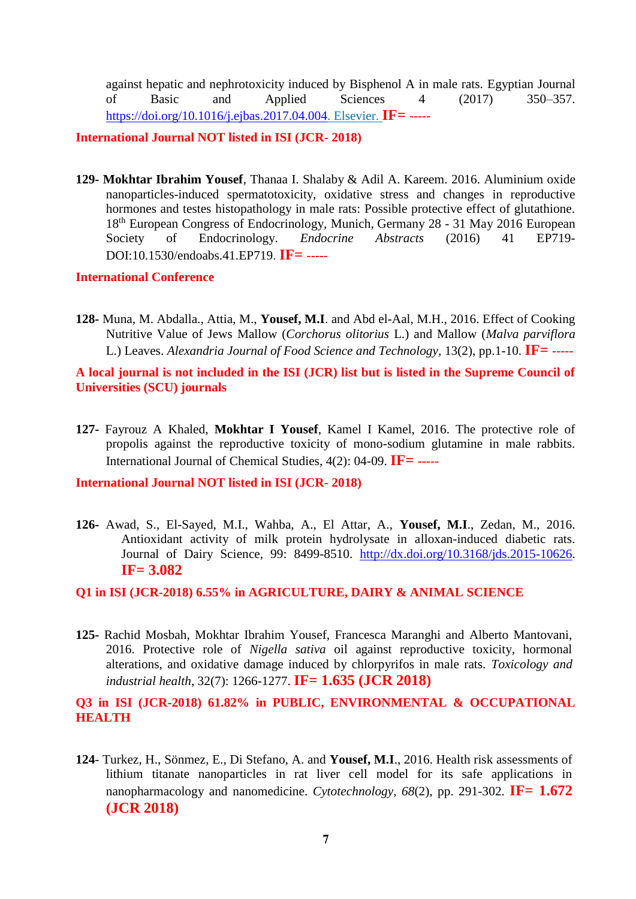against hepatic and nephrotoxicity induced by Bisphenol A in male rats. Egyptian Journal of Basic and Applied Sciences 4 (2017) 350–357. [https://doi.org/10.1016/j.ejbas.2017.04.004.](https://doi.org/10.1016/j.ejbas.2017.04.004) Elsevier. **IF= -----**

**International Journal NOT listed in ISI (JCR- 2018)**

**129- Mokhtar Ibrahim Yousef**, Thanaa I. Shalaby & Adil A. Kareem. 2016. Aluminium oxide nanoparticles-induced spermatotoxicity, oxidative stress and changes in reproductive hormones and testes histopathology in male rats: Possible protective effect of glutathione. 18th [European Congress of Endocrinology, M](http://www.ece2016.org/)unich, Germany 28 - 31 May 2016 [European](http://www.ese-hormones.org/)  [Society of Endocrinology.](http://www.ese-hormones.org/) *Endocrine Abstracts* (2016) 41 EP719- DOI:10.1530/endoabs.41.EP719. **IF= -----**

#### **International Conference**

**128-** Muna, M. Abdalla., Attia, M., **Yousef, M.I**. and Abd el-Aal, M.H., 2016. Effect of Cooking Nutritive Value of Jews Mallow (*Corchorus olitorius* L.) and Mallow (*Malva parviflora* L.) Leaves. *Alexandria Journal of Food Science and Technology,* 13(2), pp.1-10. **IF= -----**

**A local journal is not included in the ISI (JCR) list but is listed in the Supreme Council of Universities (SCU) journals**

**127-** Fayrouz A Khaled, **Mokhtar I Yousef**, Kamel I Kamel, 2016. The protective role of propolis against the reproductive toxicity of mono-sodium glutamine in male rabbits. International Journal of Chemical Studies, 4(2): 04-09. **IF= -----**

**International Journal NOT listed in ISI (JCR- 2018)**

**126-** Awad, S., El-Sayed, M.I., Wahba, A., El Attar, A., **Yousef, M.I**., Zedan, M., 2016. Antioxidant activity of milk protein hydrolysate in alloxan-induced diabetic rats. Journal of Dairy Science, 99: 8499-8510. [http://dx.doi.org/10.3168/jds.2015-10626.](http://dx.doi.org/10.3168/jds.2015-10626) **IF= 3.082**

**Q1 in ISI (JCR-2018) 6.55% in AGRICULTURE, DAIRY & ANIMAL SCIENCE**

**125-** Rachid Mosbah, Mokhtar Ibrahim Yousef, Francesca Maranghi and Alberto Mantovani, 2016. Protective role of *Nigella sativa* oil against reproductive toxicity, hormonal alterations, and oxidative damage induced by chlorpyrifos in male rats. *Toxicology and industrial health*, 32(7): 1266-1277. **IF= 1.635 (JCR 2018)**

**Q3 in ISI (JCR-2018) 61.82% in PUBLIC, ENVIRONMENTAL & OCCUPATIONAL HEALTH**

**124**- Turkez, H., Sönmez, E., Di Stefano, A. and **Yousef, M.I**., 2016. Health risk assessments of lithium titanate nanoparticles in rat liver cell model for its safe applications in nanopharmacology and nanomedicine. *Cytotechnology*, *68*(2), pp. 291-302. **IF= 1.672 (JCR 2018)**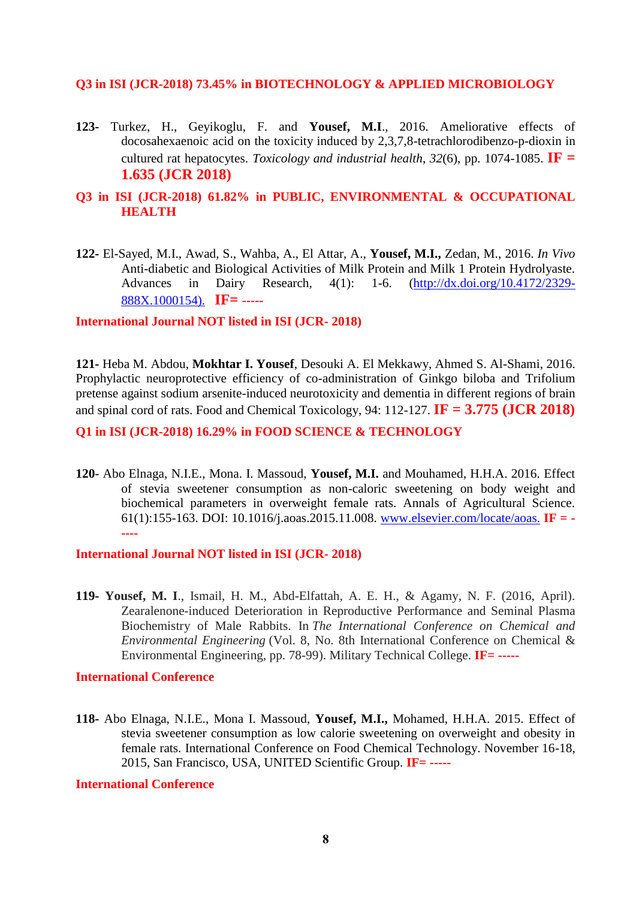#### **Q3 in ISI (JCR-2018) 73.45% in BIOTECHNOLOGY & APPLIED MICROBIOLOGY**

**123-** Turkez, H., Geyikoglu, F. and **Yousef, M.I**., 2016. Ameliorative effects of docosahexaenoic acid on the toxicity induced by 2,3,7,8-tetrachlorodibenzo-p-dioxin in cultured rat hepatocytes. *Toxicology and industrial health*,  $32(6)$ , pp. 1074-1085. **IF** = **1.635 (JCR 2018)**

### **Q3 in ISI (JCR-2018) 61.82% in PUBLIC, ENVIRONMENTAL & OCCUPATIONAL HEALTH**

**122-** El-Sayed, M.I., Awad, S., Wahba, A., El Attar, A., **Yousef, M.I.,** Zedan, M., 2016. *In Vivo* Anti-diabetic and Biological Activities of Milk Protein and Milk 1 Protein Hydrolyaste. Advances in Dairy Research, 4(1): 1-6. (http://dx.doi.org/10.4172/2329- 888X.1000154). **IF= -----**

#### **International Journal NOT listed in ISI (JCR- 2018)**

**121-** Heba M. Abdou, **Mokhtar I. Yousef**, Desouki A. El Mekkawy, Ahmed S. Al-Shami, 2016. Prophylactic neuroprotective efficiency of co-administration of Ginkgo biloba and Trifolium pretense against sodium arsenite-induced neurotoxicity and dementia in different regions of brain and spinal cord of rats. Food and Chemical Toxicology, 94: 112-127. **IF = 3.775 (JCR 2018)**

#### **Q1 in ISI (JCR-2018) 16.29% in FOOD SCIENCE & TECHNOLOGY**

**120**- Abo Elnaga, N.I.E., Mona. I. Massoud, **Yousef, M.I.** and Mouhamed, H.H.A. 2016. Effect of stevia sweetener consumption as non-caloric sweetening on body weight and biochemical parameters in overweight female rats. Annals of Agricultural Science. 61(1):155-163. DOI: 10.1016/j.aoas.2015.11.008. [www.elsevier.com/locate/aoas.](http://www.elsevier.com/locate/aoas) **IF = - ----**

#### **International Journal NOT listed in ISI (JCR- 2018)**

**119- Yousef, M. I**., Ismail, H. M., Abd-Elfattah, A. E. H., & Agamy, N. F. (2016, April). Zearalenone-induced Deterioration in Reproductive Performance and Seminal Plasma Biochemistry of Male Rabbits. In *The International Conference on Chemical and Environmental Engineering* (Vol. 8, No. 8th International Conference on Chemical & Environmental Engineering, pp. 78-99). Military Technical College. **IF= -----**

#### **International Conference**

**118-** Abo Elnaga, N.I.E., Mona I. Massoud, **Yousef, M.I.,** Mohamed, H.H.A. 2015. Effect of stevia sweetener consumption as low calorie sweetening on overweight and obesity in female rats. International Conference on Food Chemical Technology. November 16-18, 2015, San Francisco, USA, UNITED Scientific Group. **IF= -----**

#### **International Conference**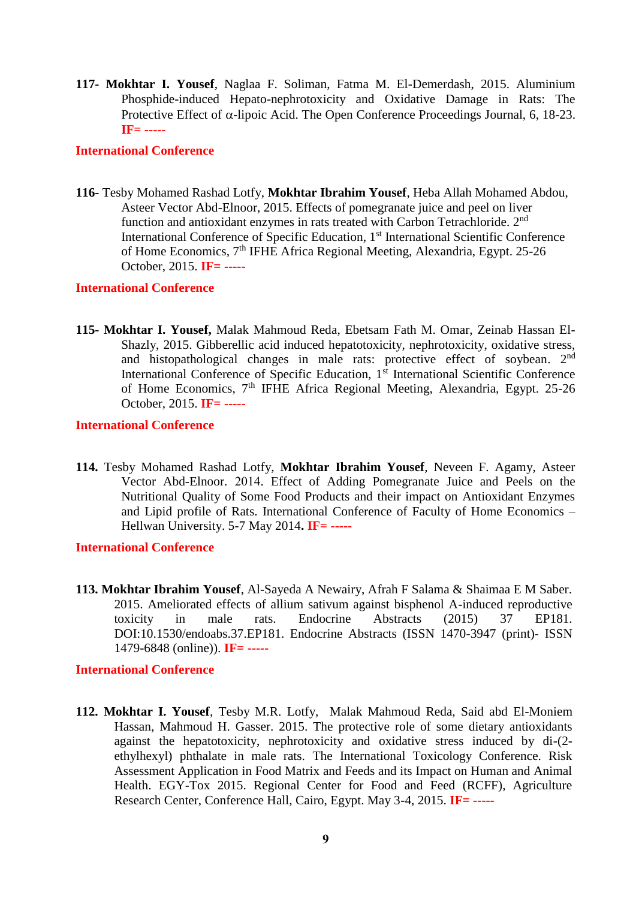**117- Mokhtar I. Yousef**, Naglaa F. Soliman, Fatma M. El-Demerdash, 2015. Aluminium Phosphide-induced Hepato-nephrotoxicity and Oxidative Damage in Rats: The Protective Effect of  $\alpha$ -lipoic Acid. The Open Conference Proceedings Journal, 6, 18-23. **IF= -----**

#### **International Conference**

**116-** Tesby Mohamed Rashad Lotfy, **Mokhtar Ibrahim Yousef**, Heba Allah Mohamed Abdou, Asteer Vector Abd-Elnoor, 2015. Effects of pomegranate juice and peel on liver function and antioxidant enzymes in rats treated with Carbon Tetrachloride. 2nd International Conference of Specific Education, 1<sup>st</sup> International Scientific Conference of Home Economics, 7th IFHE Africa Regional Meeting, Alexandria, Egypt. 25-26 October, 2015. **IF= -----**

#### **International Conference**

**115- Mokhtar I. Yousef,** Malak Mahmoud Reda, Ebetsam Fath M. Omar, Zeinab Hassan El-Shazly, 2015. Gibberellic acid induced hepatotoxicity, nephrotoxicity, oxidative stress, and histopathological changes in male rats: protective effect of soybean. 2nd International Conference of Specific Education, 1<sup>st</sup> International Scientific Conference of Home Economics, 7th IFHE Africa Regional Meeting, Alexandria, Egypt. 25-26 October, 2015. **IF= -----**

#### **International Conference**

**114.** Tesby Mohamed Rashad Lotfy, **Mokhtar Ibrahim Yousef**, Neveen F. Agamy, Asteer Vector Abd-Elnoor. 2014. Effect of Adding Pomegranate Juice and Peels on the Nutritional Quality of Some Food Products and their impact on Antioxidant Enzymes and Lipid profile of Rats. International Conference of Faculty of Home Economics – Hellwan University. 5-7 May 2014**. IF= -----**

#### **International Conference**

**113. Mokhtar Ibrahim Yousef**, Al-Sayeda A Newairy, Afrah F Salama & Shaimaa E M Saber. 2015. Ameliorated effects of allium sativum against bisphenol A-induced reproductive toxicity in male rats. Endocrine Abstracts (2015) 37 EP181. DOI:10.1530/endoabs.37.EP181. Endocrine Abstracts (ISSN 1470-3947 (print)- ISSN 1479-6848 (online)). **IF= -----**

#### **International Conference**

**112. Mokhtar I. Yousef**, Tesby M.R. Lotfy, Malak Mahmoud Reda, Said abd El-Moniem Hassan, Mahmoud H. Gasser. 2015. The protective role of some dietary antioxidants against the hepatotoxicity, nephrotoxicity and oxidative stress induced by di-(2 ethylhexyl) phthalate in male rats. The International Toxicology Conference. Risk Assessment Application in Food Matrix and Feeds and its Impact on Human and Animal Health. EGY-Tox 2015. Regional Center for Food and Feed (RCFF), Agriculture Research Center, Conference Hall, Cairo, Egypt. May 3-4, 2015. **IF= -----**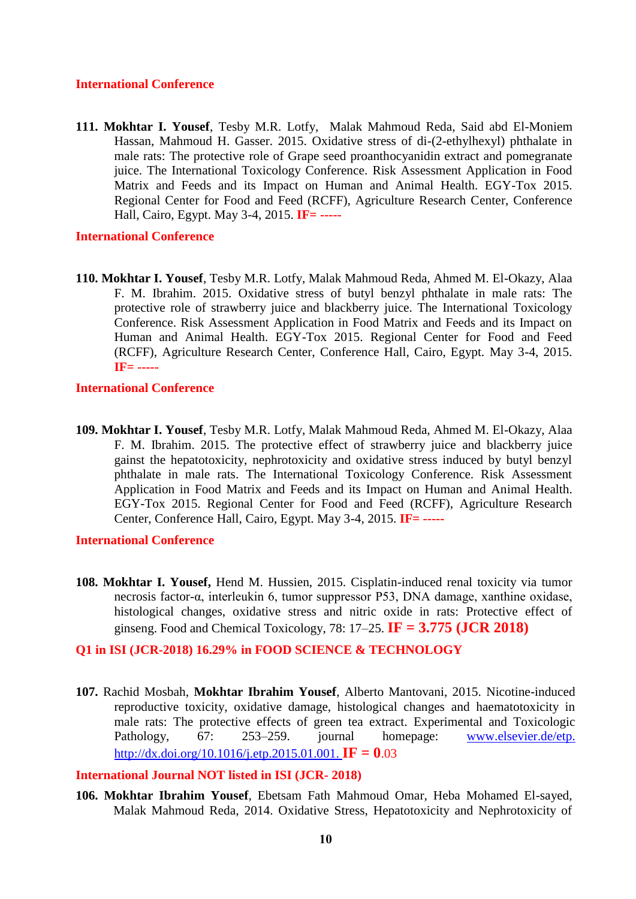#### **International Conference**

**111. Mokhtar I. Yousef**, Tesby M.R. Lotfy, Malak Mahmoud Reda, Said abd El-Moniem Hassan, Mahmoud H. Gasser. 2015. Oxidative stress of di-(2-ethylhexyl) phthalate in male rats: The protective role of Grape seed proanthocyanidin extract and pomegranate juice. The International Toxicology Conference. Risk Assessment Application in Food Matrix and Feeds and its Impact on Human and Animal Health. EGY-Tox 2015. Regional Center for Food and Feed (RCFF), Agriculture Research Center, Conference Hall, Cairo, Egypt. May 3-4, 2015. **IF= -----**

#### **International Conference**

**110. Mokhtar I. Yousef**, Tesby M.R. Lotfy, Malak Mahmoud Reda, Ahmed M. El-Okazy, Alaa F. M. Ibrahim. 2015. Oxidative stress of butyl benzyl phthalate in male rats: The protective role of strawberry juice and blackberry juice. The International Toxicology Conference. Risk Assessment Application in Food Matrix and Feeds and its Impact on Human and Animal Health. EGY-Tox 2015. Regional Center for Food and Feed (RCFF), Agriculture Research Center, Conference Hall, Cairo, Egypt. May 3-4, 2015. **IF= -----**

#### **International Conference**

**109. Mokhtar I. Yousef**, Tesby M.R. Lotfy, Malak Mahmoud Reda, Ahmed M. El-Okazy, Alaa F. M. Ibrahim. 2015. The protective effect of strawberry juice and blackberry juice gainst the hepatotoxicity, nephrotoxicity and oxidative stress induced by butyl benzyl phthalate in male rats. The International Toxicology Conference. Risk Assessment Application in Food Matrix and Feeds and its Impact on Human and Animal Health. EGY-Tox 2015. Regional Center for Food and Feed (RCFF), Agriculture Research Center, Conference Hall, Cairo, Egypt. May 3-4, 2015. **IF= -----**

#### **International Conference**

**108. [Mokhtar I. Yousef,](http://www.sciencedirect.com/science/article/pii/S0278691515000198)** [Hend M. Hussien,](http://www.sciencedirect.com/science/article/pii/S0278691515000198) 2015. Cisplatin-induced renal toxicity via tumor necrosis factor-α, interleukin 6, tumor suppressor P53, DNA damage, xanthine oxidase, histological changes, oxidative stress and nitric oxide in rats: Protective effect of ginseng. Food and Chemical Toxicology, 78: 17–25. **IF = 3.775 (JCR 2018)**

### **Q1 in ISI (JCR-2018) 16.29% in FOOD SCIENCE & TECHNOLOGY**

**107.** Rachid Mosbah, **Mokhtar Ibrahim Yousef**, Alberto Mantovani, 2015. Nicotine-induced reproductive toxicity, oxidative damage, histological changes and haematotoxicity in male rats: The protective effects of green tea extract. Experimental and Toxicologic Pathology, 67: 253–259. journal homepage: [www.elsevier.de/etp.](http://www.elsevier.de/etp) [http://dx.doi.org/10.1016/j.etp.2015.01.001.](http://dx.doi.org/10.1016/j.etp.2015.01.001) **IF = 0.**03

#### **International Journal NOT listed in ISI (JCR- 2018)**

**106. Mokhtar Ibrahim Yousef**, Ebetsam Fath Mahmoud Omar, Heba Mohamed El-sayed, Malak Mahmoud Reda, 2014. Oxidative Stress, Hepatotoxicity and Nephrotoxicity of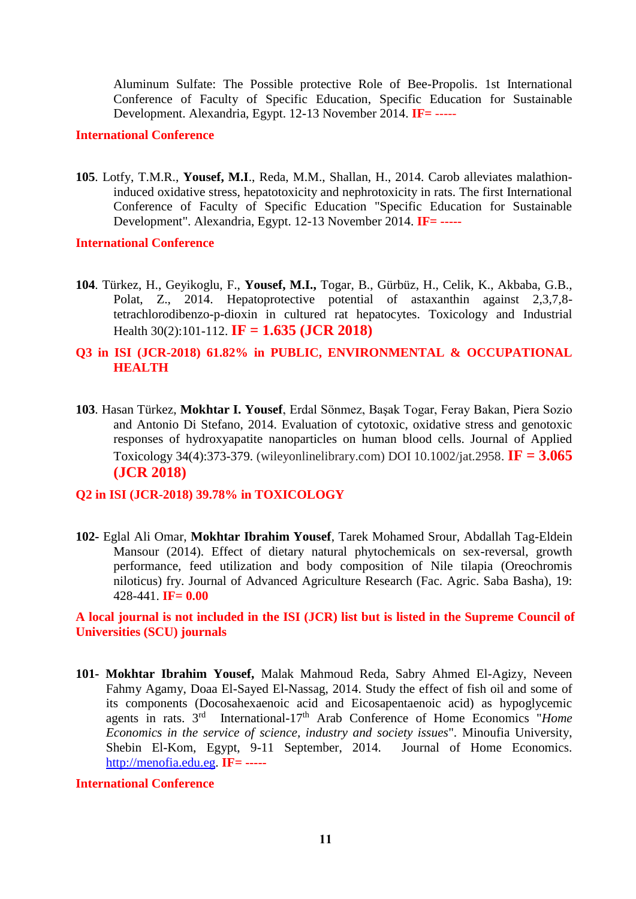Aluminum Sulfate: The Possible protective Role of Bee-Propolis. 1st International Conference of Faculty of Specific Education, Specific Education for Sustainable Development. Alexandria, Egypt. 12-13 November 2014. **IF=** -----

#### **International Conference**

**105**. Lotfy, T.M.R., **Yousef, M.I**., Reda, M.M., Shallan, H., 2014. Carob alleviates malathioninduced oxidative stress, hepatotoxicity and nephrotoxicity in rats. The first International Conference of Faculty of Specific Education "Specific Education for Sustainable Development". Alexandria, Egypt. 12-13 November 2014. **IF= -----**

#### **International Conference**

- **104**. Türkez, H., Geyikoglu, F., **Yousef, M.I.,** Togar, B., Gürbüz, H., Celik, K., Akbaba, G.B., Polat, Z., 2014. Hepatoprotective potential of astaxanthin against 2,3,7,8 tetrachlorodibenzo-p-dioxin in cultured rat hepatocytes. Toxicology and Industrial Health 30(2):101-112. **IF = 1.635 (JCR 2018)**
- **Q3 in ISI (JCR-2018) 61.82% in PUBLIC, ENVIRONMENTAL & OCCUPATIONAL HEALTH**
- **103**. Hasan Türkez, **Mokhtar I. Yousef**, Erdal Sönmez, Başak Togar, Feray Bakan, Piera Sozio and Antonio Di Stefano, 2014. Evaluation of cytotoxic, oxidative stress and genotoxic responses of hydroxyapatite nanoparticles on human blood cells. Journal of Applied Toxicology 34(4):373-379. (wileyonlinelibrary.com) DOI 10.1002/jat.2958. **IF = 3.065 (JCR 2018)**

#### **Q2 in ISI (JCR-2018) 39.78% in TOXICOLOGY**

**102-** Eglal Ali Omar, **Mokhtar Ibrahim Yousef**, Tarek Mohamed Srour, Abdallah Tag-Eldein Mansour (2014). Effect of dietary natural phytochemicals on sex-reversal, growth performance, feed utilization and body composition of Nile tilapia (Oreochromis niloticus) fry. Journal of Advanced Agriculture Research (Fac. Agric. Saba Basha), 19: 428-441. **IF= 0.00**

**A local journal is not included in the ISI (JCR) list but is listed in the Supreme Council of Universities (SCU) journals**

**101- Mokhtar Ibrahim Yousef,** Malak Mahmoud Reda, Sabry Ahmed El-Agizy, Neveen Fahmy Agamy, Doaa El-Sayed El-Nassag, 2014. Study the effect of fish oil and some of its components (Docosahexaenoic acid and Eicosapentaenoic acid) as hypoglycemic agents in rats. 3<sup>rd</sup> International-17<sup>th</sup> Arab Conference of Home Economics "*Home Economics in the service of science, industry and society issues*". Minoufia University, Shebin El-Kom, Egypt, 9-11 September, 2014. Journal of Home Economics. [http://menofia.edu.eg.](http://menofia.edu.eg/) **IF= -----**

#### **International Conference**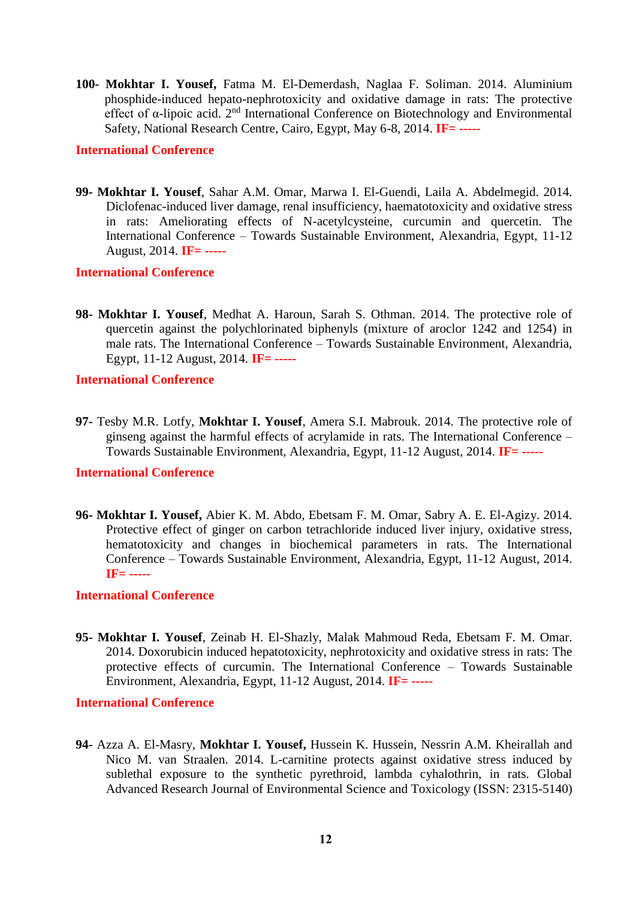**100- Mokhtar I. Yousef,** Fatma M. El-Demerdash, Naglaa F. Soliman. 2014. Aluminium phosphide-induced hepato-nephrotoxicity and oxidative damage in rats: The protective effect of  $\alpha$ -lipoic acid.  $2^{nd}$  International Conference on Biotechnology and Environmental Safety, National Research Centre, Cairo, Egypt, May 6-8, 2014. **IF= -----**

#### **International Conference**

**99- Mokhtar I. Yousef**, Sahar A.M. Omar, Marwa I. El-Guendi, Laila A. Abdelmegid. 2014. Diclofenac-induced liver damage, renal insufficiency, haematotoxicity and oxidative stress in rats: Ameliorating effects of N-acetylcysteine, curcumin and quercetin. The International Conference – Towards Sustainable Environment, Alexandria, Egypt, 11-12 August, 2014. **IF= -----**

#### **International Conference**

**98- Mokhtar I. Yousef**, Medhat A. Haroun, Sarah S. Othman. 2014. The protective role of quercetin against the polychlorinated biphenyls (mixture of aroclor 1242 and 1254) in male rats. The International Conference – Towards Sustainable Environment, Alexandria, Egypt, 11-12 August, 2014. **IF= -----**

#### **International Conference**

**97-** Tesby M.R. Lotfy, **Mokhtar I. Yousef**, Amera S.I. Mabrouk. 2014. The protective role of ginseng against the harmful effects of acrylamide in rats. The International Conference – Towards Sustainable Environment, Alexandria, Egypt, 11-12 August, 2014. **IF= -----**

### **International Conference**

**96- Mokhtar I. Yousef,** Abier K. M. Abdo, Ebetsam F. M. Omar, Sabry A. E. El-Agizy. 2014. Protective effect of ginger on carbon tetrachloride induced liver injury, oxidative stress, hematotoxicity and changes in biochemical parameters in rats. The International Conference – Towards Sustainable Environment, Alexandria, Egypt, 11-12 August, 2014. **IF= -----**

#### **International Conference**

**95- Mokhtar I. Yousef**, Zeinab H. El-Shazly, Malak Mahmoud Reda, Ebetsam F. M. Omar. 2014. Doxorubicin induced hepatotoxicity, nephrotoxicity and oxidative stress in rats: The protective effects of curcumin. The International Conference – Towards Sustainable Environment, Alexandria, Egypt, 11-12 August, 2014. **IF= -----**

#### **International Conference**

**94-** Azza A. El-Masry, **Mokhtar I. Yousef,** Hussein K. Hussein, Nessrin A.M. Kheirallah and Nico M. van Straalen. 2014. L-carnitine protects against oxidative stress induced by sublethal exposure to the synthetic pyrethroid, lambda cyhalothrin, in rats. Global Advanced Research Journal of Environmental Science and Toxicology (ISSN: 2315-5140)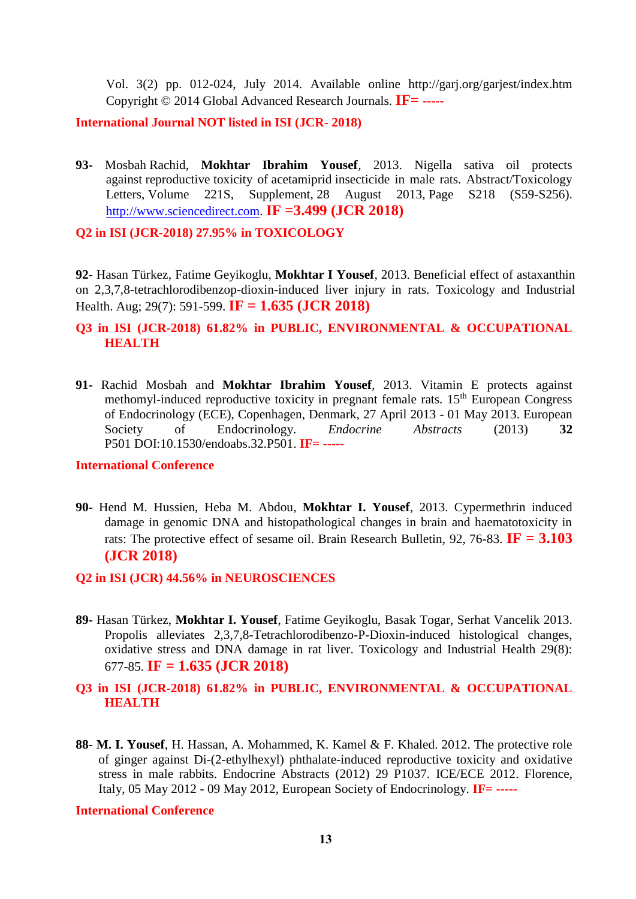Vol. 3(2) pp. 012-024, July 2014. Available online http://garj.org/garjest/index.htm Copyright © 2014 Global Advanced Research Journals. **IF= -----**

**International Journal NOT listed in ISI (JCR- 2018)**

**93-** Mosbah Rachid, **Mokhtar Ibrahim Yousef**, 2013. Nigella sativa oil protects against reproductive toxicity of acetamiprid insecticide in male rats. Abstract/Toxicology Letters, Volume 221S, Supplement, 28 August 2013, Page S218 (S59-S256). [http://www.sciencedirect.com.](http://www.sciencedirect.com/) **IF =3.499 (JCR 2018)**

**Q2 in ISI (JCR-2018) 27.95% in TOXICOLOGY**

**92-** Hasan Türkez, Fatime Geyikoglu, **Mokhtar I Yousef**, 2013. Beneficial effect of astaxanthin on 2,3,7,8-tetrachlorodibenzop-dioxin-induced liver injury in rats. Toxicology and Industrial Health. Aug; 29(7): 591-599. **IF = 1.635 (JCR 2018)**

### **Q3 in ISI (JCR-2018) 61.82% in PUBLIC, ENVIRONMENTAL & OCCUPATIONAL HEALTH**

**91-** Rachid Mosbah and **Mokhtar Ibrahim Yousef**, 2013. Vitamin E protects against methomyl-induced reproductive toxicity in pregnant female rats.  $15<sup>th</sup>$  European Congress of Endocrinology (ECE), Copenhagen, Denmark, 27 April 2013 - 01 May 2013. European Society of Endocrinology. *Endocrine Abstracts* (2013) **32** P501 DOI:10.1530/endoabs.32.P501. **IF= -----**

#### **International Conference**

- **90-** Hend M. Hussien, Heba M. Abdou, **Mokhtar I. Yousef**, 2013. Cypermethrin induced damage in genomic DNA and histopathological changes in brain and haematotoxicity in rats: The protective effect of sesame oil. Brain Research Bulletin, [92,](http://www.sciencedirect.com/science/journal/03619230/86/5-6) 76-83. **IF = 3.103 (JCR 2018)**
- **Q2 in ISI (JCR) 44.56% in NEUROSCIENCES**
- **89-** Hasan Türkez, **Mokhtar I. Yousef**, Fatime Geyikoglu, Basak Togar, Serhat Vancelik 2013. Propolis alleviates 2,3,7,8-Tetrachlorodibenzo-P-Dioxin-induced histological changes, oxidative stress and DNA damage in rat liver. Toxicology and Industrial Health 29(8): 677-85. **IF = 1.635 (JCR 2018)**

### **Q3 in ISI (JCR-2018) 61.82% in PUBLIC, ENVIRONMENTAL & OCCUPATIONAL HEALTH**

**88- M. I. Yousef**, H. Hassan, A. Mohammed, K. Kamel & F. Khaled. 2012. The protective role of ginger against Di-(2-ethylhexyl) phthalate-induced reproductive toxicity and oxidative stress in male rabbits. Endocrine Abstracts (2012) 29 P1037. [ICE/ECE 2012.](file://///ea/0029/default.htm) Florence, Italy, 05 May 2012 - 09 May 2012, European Society of Endocrinology. **IF= -----**

**International Conference**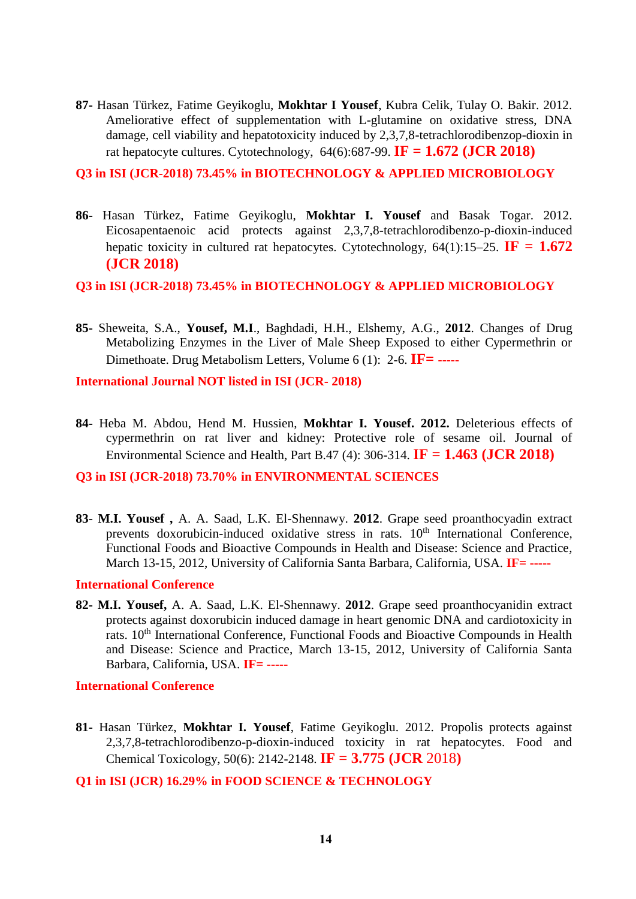**87-** Hasan Türkez, Fatime Geyikoglu, **Mokhtar I Yousef**, Kubra Celik, Tulay O. Bakir. 2012. Ameliorative effect of supplementation with L-glutamine on oxidative stress, DNA damage, cell viability and hepatotoxicity induced by 2,3,7,8-tetrachlorodibenzop-dioxin in rat hepatocyte cultures. Cytotechnology, 64(6):687-99. **IF = 1.672 (JCR 2018)**

**Q3 in ISI (JCR-2018) 73.45% in BIOTECHNOLOGY & APPLIED MICROBIOLOGY**

**86-** Hasan Türkez, Fatime Geyikoglu, **Mokhtar I. Yousef** and Basak Togar. 2012. Eicosapentaenoic acid protects against 2,3,7,8-tetrachlorodibenzo-p-dioxin-induced hepatic toxicity in cultured rat hepatocytes. Cytotechnology,  $64(1):15-25$ . **IF = 1.672 (JCR 2018)**

### **Q3 in ISI (JCR-2018) 73.45% in BIOTECHNOLOGY & APPLIED MICROBIOLOGY**

**85-** Sheweita, S.A., **Yousef, M.I**., Baghdadi, H.H., Elshemy, A.G., **2012**. Changes of Drug Metabolizing Enzymes in the Liver of Male Sheep Exposed to either Cypermethrin or Dimethoate. Drug Metabolism Letters, Volume 6 (1): 2-6. **IF= -----**

**International Journal NOT listed in ISI (JCR- 2018)**

**84-** Heba M. Abdou, Hend M. Hussien, **Mokhtar I. Yousef. 2012.** Deleterious effects of cypermethrin on rat liver and kidney: Protective role of sesame oil. Journal of Environmental Science and Health, Part B.47 (4): 306-314. **IF = 1.463 (JCR 2018)**

**Q3 in ISI (JCR-2018) 73.70% in ENVIRONMENTAL SCIENCES**

**83**- **M.I. Yousef ,** A. A. Saad, L.K. El-Shennawy. **2012**. Grape seed proanthocyadin extract prevents doxorubicin-induced oxidative stress in rats. 10<sup>th</sup> [International Conference,](http://cts.vresp.com/c/?FunctionalFoodsCente/ec1773382b/4cf2fed507/1a04d91d1f/utm_content=&utm_source=VerticalResponse&utm_medium=Email&utm_term=International%20Conference&utm_campaign=Preliminary%20Conference%20Program) [Functional Foods and Bioactive Compounds in Health and Disease: Science and Practice,](http://cts.vresp.com/c/?FunctionalFoodsCente/ec1773382b/4cf2fed507/238d5d972a/utm_content=&utm_source=VerticalResponse&utm_medium=Email&utm_term=Functional%20Foods%20and%20Bioactive%20Compounds%20in%20Health%20and%20Disease%3A%20Science%20and%20Practice&utm_campaign=Preliminary%20Conference%20Program) March 13-15, 2012, University of California Santa Barbara, California, USA. **IF= -----**

#### **International Conference**

**82- M.I. Yousef,** A. A. Saad, L.K. El-Shennawy. **2012**. Grape seed proanthocyanidin extract protects against doxorubicin induced damage in heart genomic DNA and cardiotoxicity in rats. 10<sup>th</sup> [International Conference,](http://cts.vresp.com/c/?FunctionalFoodsCente/ec1773382b/4cf2fed507/1a04d91d1f/utm_content=&utm_source=VerticalResponse&utm_medium=Email&utm_term=International%20Conference&utm_campaign=Preliminary%20Conference%20Program) Functional Foods and Bioactive Compounds in Health [and Disease: Science and Practice,](http://cts.vresp.com/c/?FunctionalFoodsCente/ec1773382b/4cf2fed507/238d5d972a/utm_content=&utm_source=VerticalResponse&utm_medium=Email&utm_term=Functional%20Foods%20and%20Bioactive%20Compounds%20in%20Health%20and%20Disease%3A%20Science%20and%20Practice&utm_campaign=Preliminary%20Conference%20Program) March 13-15, 2012, University of California Santa Barbara, California, USA. **IF= -----**

**International Conference**

**81-** Hasan Türkez, **Mokhtar I. Yousef**, Fatime Geyikoglu. 2012. Propolis protects against 2,3,7,8-tetrachlorodibenzo-p-dioxin-induced toxicity in rat hepatocytes. Food and Chemical Toxicology, 50(6): 2142-2148. **IF = 3.775 (JCR** 2018**)**

#### **Q1 in ISI (JCR) 16.29% in FOOD SCIENCE & TECHNOLOGY**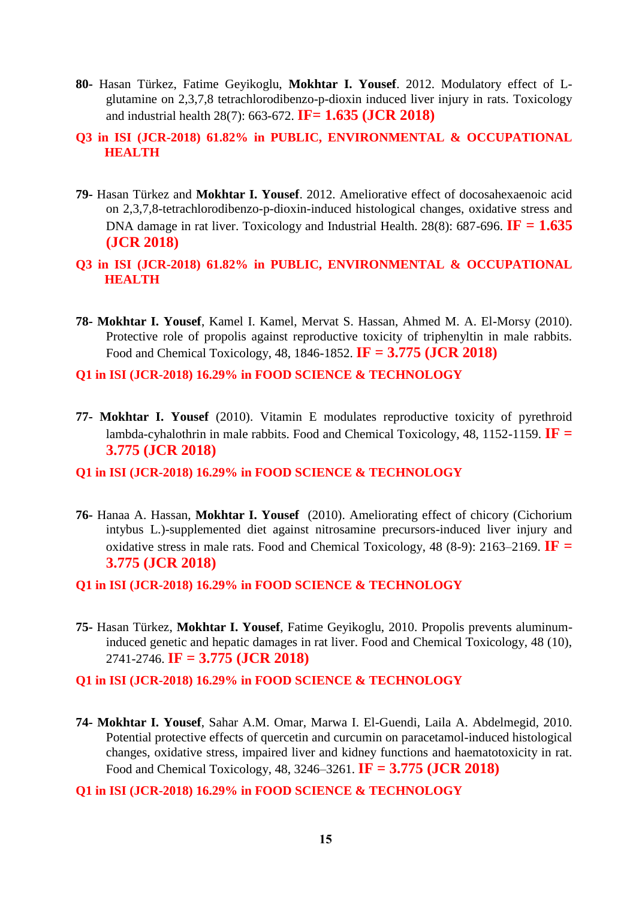- **80-** Hasan Türkez, Fatime Geyikoglu, **Mokhtar I. Yousef**. 2012. Modulatory effect of Lglutamine on 2,3,7,8 tetrachlorodibenzo-p-dioxin induced liver injury in rats. Toxicology and industrial health 28(7): 663-672. **IF= 1.635 (JCR 2018)**
- **Q3 in ISI (JCR-2018) 61.82% in PUBLIC, ENVIRONMENTAL & OCCUPATIONAL HEALTH**
- **79-** Hasan Türkez and **Mokhtar I. Yousef**. 2012. Ameliorative effect of docosahexaenoic acid on 2,3,7,8-tetrachlorodibenzo-p-dioxin-induced histological changes, oxidative stress and DNA damage in rat liver. Toxicology and Industrial Health. 28(8): 687-696. **IF = 1.635 (JCR 2018)**
- **Q3 in ISI (JCR-2018) 61.82% in PUBLIC, ENVIRONMENTAL & OCCUPATIONAL HEALTH**
- **78- Mokhtar I. Yousef**, Kamel I. Kamel, Mervat S. Hassan, Ahmed M. A. El-Morsy (2010). Protective role of propolis against reproductive toxicity of triphenyltin in male rabbits. Food and Chemical Toxicology, 48, 1846-1852. **IF = 3.775 (JCR 2018)**

**Q1 in ISI (JCR-2018) 16.29% in FOOD SCIENCE & TECHNOLOGY**

- **77- Mokhtar I. Yousef** (2010). Vitamin E modulates reproductive toxicity of pyrethroid lambda-cyhalothrin in male rabbits. Food and Chemical Toxicology, 48, 1152-1159. **IF = 3.775 (JCR 2018)**
- **Q1 in ISI (JCR-2018) 16.29% in FOOD SCIENCE & TECHNOLOGY**
- **76-** Hanaa A. Hassan, **Mokhtar I. Yousef** (2010). Ameliorating effect of chicory (Cichorium intybus L.)-supplemented diet against nitrosamine precursors-induced liver injury and oxidative stress in male rats. Food and Chemical Toxicology, 48 (8-9): 2163–2169. **IF = 3.775 (JCR 2018)**
- **Q1 in ISI (JCR-2018) 16.29% in FOOD SCIENCE & TECHNOLOGY**
- **75-** Hasan Türkez, **Mokhtar I. Yousef**, Fatime Geyikoglu, 2010. Propolis prevents aluminuminduced genetic and hepatic damages in rat liver. Food and Chemical Toxicology, 48 (10), 2741-2746. **IF = 3.775 (JCR 2018)**
- **Q1 in ISI (JCR-2018) 16.29% in FOOD SCIENCE & TECHNOLOGY**
- **74- Mokhtar I. Yousef**, Sahar A.M. Omar, Marwa I. El-Guendi, Laila A. Abdelmegid, 2010. Potential protective effects of quercetin and curcumin on paracetamol-induced histological changes, oxidative stress, impaired liver and kidney functions and haematotoxicity in rat. Food and Chemical Toxicology, 48, 3246–3261. **IF = 3.775 (JCR 2018)**
- **Q1 in ISI (JCR-2018) 16.29% in FOOD SCIENCE & TECHNOLOGY**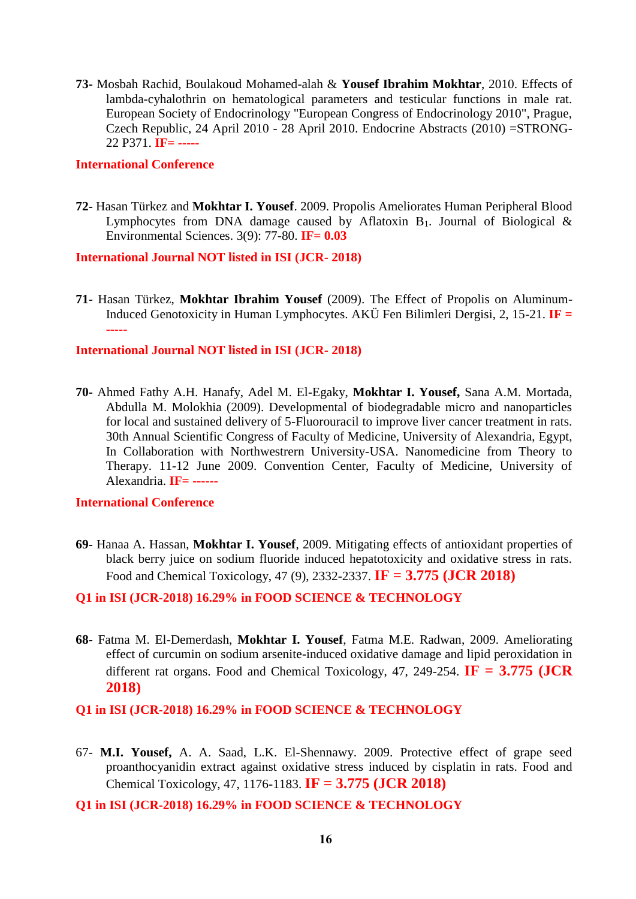**73-** Mosbah Rachid, Boulakoud Mohamed-alah & **Yousef Ibrahim Mokhtar**, 2010. Effects of lambda-cyhalothrin on hematological parameters and testicular functions in male rat. European Society of Endocrinology "European Congress of Endocrinology 2010", Prague, Czech Republic, 24 April 2010 - 28 April 2010. Endocrine Abstracts (2010) =STRONG-22 P371. **IF= -----**

#### **International Conference**

**72-** Hasan Türkez and **Mokhtar I. Yousef**. 2009. Propolis Ameliorates Human Peripheral Blood Lymphocytes from DNA damage caused by Aflatoxin  $B_1$ . Journal of Biological & Environmental Sciences. 3(9): 77-80. **IF= 0.03**

#### **International Journal NOT listed in ISI (JCR- 2018)**

**71-** Hasan Türkez, **Mokhtar Ibrahim Yousef** (2009). The Effect of Propolis on Aluminum-Induced Genotoxicity in Human Lymphocytes. AKÜ Fen Bilimleri Dergisi, 2, 15-21. **IF = -----**

#### **International Journal NOT listed in ISI (JCR- 2018)**

**70-** Ahmed Fathy A.H. Hanafy, Adel M. El-Egaky, **Mokhtar I. Yousef,** Sana A.M. Mortada, Abdulla M. Molokhia (2009). Developmental of biodegradable micro and nanoparticles for local and sustained delivery of 5-Fluorouracil to improve liver cancer treatment in rats. 30th Annual Scientific Congress of Faculty of Medicine, University of Alexandria, Egypt, In Collaboration with Northwestrern University-USA. Nanomedicine from Theory to Therapy. 11-12 June 2009. Convention Center, Faculty of Medicine, University of Alexandria. **IF= ------**

#### **International Conference**

**69-** Hanaa A. Hassan, **Mokhtar I. Yousef**, 2009. Mitigating effects of antioxidant properties of black berry juice on sodium fluoride induced hepatotoxicity and oxidative stress in rats. Food and Chemical Toxicology, 47 (9), 2332-2337. **IF = 3.775 (JCR 2018)**

#### **Q1 in ISI (JCR-2018) 16.29% in FOOD SCIENCE & TECHNOLOGY**

**68-** Fatma M. El-Demerdash, **Mokhtar I. Yousef**, Fatma M.E. Radwan, 2009. Ameliorating effect of curcumin on sodium arsenite-induced oxidative damage and lipid peroxidation in different rat organs. Food and Chemical Toxicology, 47, 249-254. **IF = 3.775 (JCR 2018)**

#### **Q1 in ISI (JCR-2018) 16.29% in FOOD SCIENCE & TECHNOLOGY**

- 67- **M.I. Yousef,** A. A. Saad, L.K. El-Shennawy. 2009. Protective effect of grape seed proanthocyanidin extract against oxidative stress induced by cisplatin in rats. Food and Chemical Toxicology, 47, 1176-1183. **IF = 3.775 (JCR 2018)**
- **Q1 in ISI (JCR-2018) 16.29% in FOOD SCIENCE & TECHNOLOGY**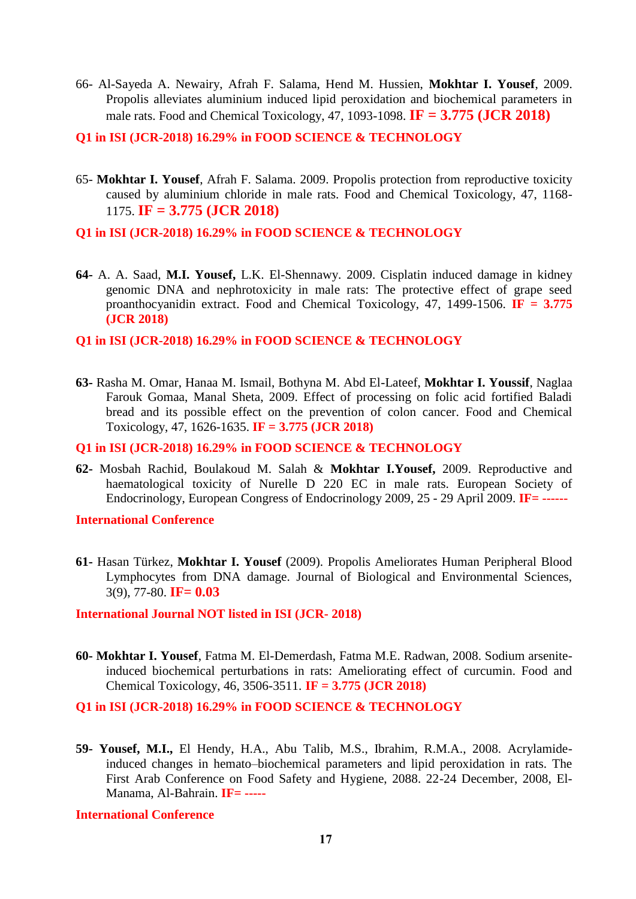- 66- Al-Sayeda A. Newairy, Afrah F. Salama, Hend M. Hussien, **Mokhtar I. Yousef**, 2009. Propolis alleviates aluminium induced lipid peroxidation and biochemical parameters in male rats. Food and Chemical Toxicology, 47, 1093-1098. **IF = 3.775 (JCR 2018)**
- **Q1 in ISI (JCR-2018) 16.29% in FOOD SCIENCE & TECHNOLOGY**
- 65- **Mokhtar I. Yousef**, Afrah F. Salama. 2009. Propolis protection from reproductive toxicity caused by aluminium chloride in male rats. Food and Chemical Toxicology, 47, 1168- 1175. **IF = 3.775 (JCR 2018)**
- **Q1 in ISI (JCR-2018) 16.29% in FOOD SCIENCE & TECHNOLOGY**
- **64-** A. A. Saad, **M.I. Yousef,** L.K. El-Shennawy. 2009. Cisplatin induced damage in kidney genomic DNA and nephrotoxicity in male rats: The protective effect of grape seed proanthocyanidin extract. Food and Chemical Toxicology, 47, 1499-1506. **IF = 3.775 (JCR 2018)**
- **Q1 in ISI (JCR-2018) 16.29% in FOOD SCIENCE & TECHNOLOGY**
- **63-** Rasha M. Omar, Hanaa M. Ismail, Bothyna M. Abd El-Lateef, **Mokhtar I. Youssif**, Naglaa Farouk Gomaa, Manal Sheta, 2009. Effect of processing on folic acid fortified Baladi bread and its possible effect on the prevention of colon cancer. Food and Chemical Toxicology, 47, 1626-1635. **IF = 3.775 (JCR 2018)**

#### **Q1 in ISI (JCR-2018) 16.29% in FOOD SCIENCE & TECHNOLOGY**

**62-** Mosbah Rachid, Boulakoud M. Salah & **Mokhtar I.Yousef,** 2009. Reproductive and haematological toxicity of Nurelle D 220 EC in male rats. European Society of Endocrinology, [European Congress of Endocrinology 2009,](http://www.endocrine-abstracts.org/ea/0020/default.htm) 25 - 29 April 2009. **IF= ------**

#### **International Conference**

**61-** Hasan Türkez, **Mokhtar I. Yousef** (2009). Propolis Ameliorates Human Peripheral Blood Lymphocytes from DNA damage. Journal of Biological and Environmental Sciences, 3(9), 77-80. **IF= 0.03**

#### **International Journal NOT listed in ISI (JCR- 2018)**

**60- Mokhtar I. Yousef**, Fatma M. El-Demerdash, Fatma M.E. Radwan, 2008. Sodium arseniteinduced biochemical perturbations in rats: Ameliorating effect of curcumin. Food and Chemical Toxicology, 46, 3506-3511. **IF = 3.775 (JCR 2018)**

#### **Q1 in ISI (JCR-2018) 16.29% in FOOD SCIENCE & TECHNOLOGY**

**59- Yousef, M.I.,** El Hendy, H.A., Abu Talib, M.S., Ibrahim, R.M.A., 2008. Acrylamideinduced changes in hemato–biochemical parameters and lipid peroxidation in rats. The First Arab Conference on Food Safety and Hygiene, 2088. 22-24 December, 2008, El-Manama, Al-Bahrain. **IF= -----**

**International Conference**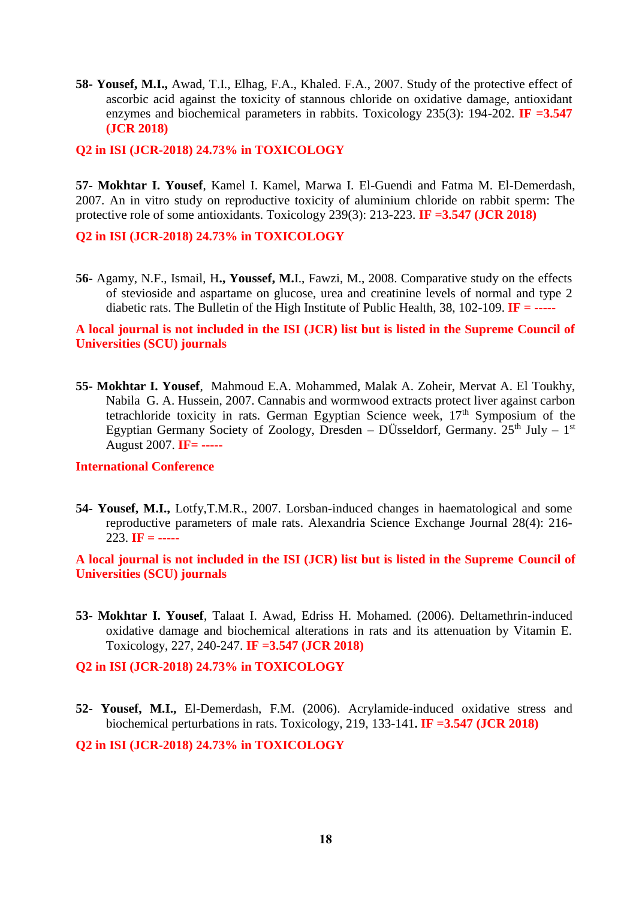**58- Yousef, M.I.,** Awad, T.I., Elhag, F.A., Khaled. F.A., 2007. Study of the protective effect of ascorbic acid against the toxicity of stannous chloride on oxidative damage, antioxidant enzymes and biochemical parameters in rabbits. Toxicology 235(3): 194-202. **IF =3.547 (JCR 2018)**

**Q2 in ISI (JCR-2018) 24.73% in TOXICOLOGY**

**57- Mokhtar I. Yousef**, Kamel I. Kamel, Marwa I. El-Guendi and Fatma M. El-Demerdash, 2007. An in vitro study on reproductive toxicity of aluminium chloride on rabbit sperm: The protective role of some antioxidants. Toxicology 239(3): 213-223. **IF =3.547 (JCR 2018)**

**Q2 in ISI (JCR-2018) 24.73% in TOXICOLOGY**

**56-** Agamy, N.F., Ismail, H**., Youssef, M.**I., Fawzi, M., 2008. Comparative study on the effects of stevioside and aspartame on glucose, urea and creatinine levels of normal and type 2 diabetic rats. The Bulletin of the High Institute of Public Health, 38, 102-109. **IF = -----**

**A local journal is not included in the ISI (JCR) list but is listed in the Supreme Council of Universities (SCU) journals**

**55- Mokhtar I. Yousef**, Mahmoud E.A. Mohammed, Malak A. Zoheir, Mervat A. El Toukhy, Nabila G. A. Hussein, 2007. Cannabis and wormwood extracts protect liver against carbon tetrachloride toxicity in rats. German Egyptian Science week,  $17<sup>th</sup>$  Symposium of the Egyptian Germany Society of Zoology, Dresden – DÜsseldorf, Germany.  $25<sup>th</sup>$  July –  $1<sup>st</sup>$ August 2007. **IF= -----**

#### **International Conference**

**54- Yousef, M.I.,** Lotfy,T.M.R., 2007. Lorsban-induced changes in haematological and some reproductive parameters of male rats. Alexandria Science Exchange Journal 28(4): 216- 223. **IF = -----**

**A local journal is not included in the ISI (JCR) list but is listed in the Supreme Council of Universities (SCU) journals**

**53- Mokhtar I. Yousef**, Talaat I. Awad, Edriss H. Mohamed. (2006). Deltamethrin-induced oxidative damage and biochemical alterations in rats and its attenuation by Vitamin E. Toxicology, 227, 240-247. **IF =3.547 (JCR 2018)**

#### **Q2 in ISI (JCR-2018) 24.73% in TOXICOLOGY**

**52- Yousef, M.I.,** El-Demerdash, F.M. (2006). Acrylamide-induced oxidative stress and biochemical perturbations in rats. Toxicology, 219, 133-141**. IF =3.547 (JCR 2018)**

**Q2 in ISI (JCR-2018) 24.73% in TOXICOLOGY**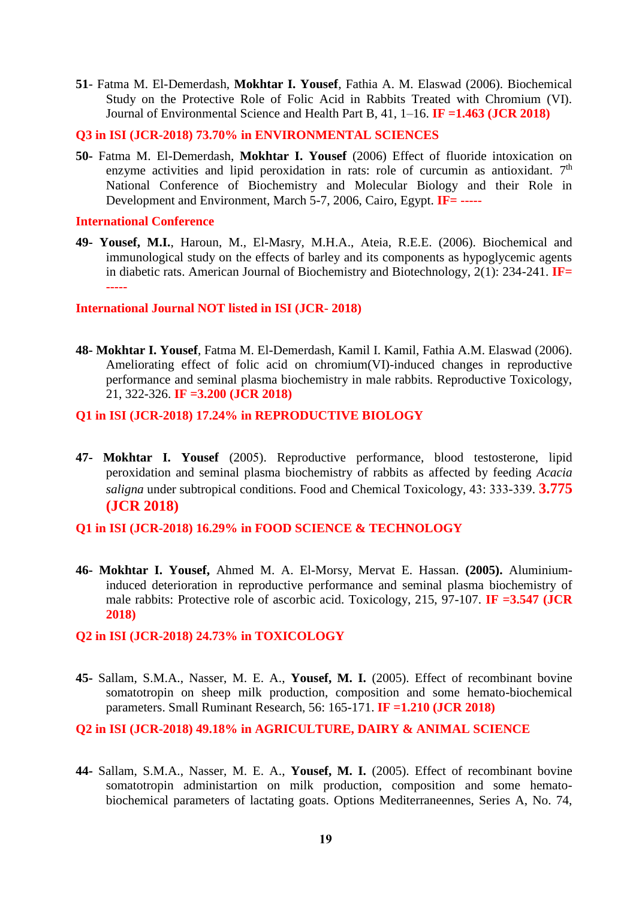**51**- Fatma M. El-Demerdash, **Mokhtar I. Yousef**, Fathia A. M. Elaswad (2006). Biochemical Study on the Protective Role of Folic Acid in Rabbits Treated with Chromium (VI). Journal of Environmental Science and Health Part B, 41, 1–16. **IF =1.463 (JCR 2018)**

**Q3 in ISI (JCR-2018) 73.70% in ENVIRONMENTAL SCIENCES**

**50-** Fatma M. El-Demerdash, **Mokhtar I. Yousef** (2006) Effect of fluoride intoxication on enzyme activities and lipid peroxidation in rats: role of curcumin as antioxidant.  $7<sup>th</sup>$ National Conference of Biochemistry and Molecular Biology and their Role in Development and Environment, March 5-7, 2006, Cairo, Egypt. **IF= -----**

**International Conference**

**49- Yousef, M.I.**, Haroun, M., El-Masry, M.H.A., Ateia, R.E.E. (2006). Biochemical and immunological study on the effects of barley and its components as hypoglycemic agents in diabetic rats. American Journal of Biochemistry and Biotechnology, 2(1): 234-241. **IF= -----**

**International Journal NOT listed in ISI (JCR- 2018)**

**48- Mokhtar I. Yousef**, Fatma M. El-Demerdash, Kamil I. Kamil, Fathia A.M. Elaswad (2006). Ameliorating effect of folic acid on chromium(VI)-induced changes in reproductive performance and seminal plasma biochemistry in male rabbits. Reproductive Toxicology, 21, 322-326. **IF =3.200 (JCR 2018)**

#### **Q1 in ISI (JCR-2018) 17.24% in REPRODUCTIVE BIOLOGY**

**47- Mokhtar I. Yousef** (2005). Reproductive performance, blood testosterone, lipid peroxidation and seminal plasma biochemistry of rabbits as affected by feeding *Acacia saligna* under subtropical conditions. Food and Chemical Toxicology, 43: 333-339. **3.775 (JCR 2018)**

### **Q1 in ISI (JCR-2018) 16.29% in FOOD SCIENCE & TECHNOLOGY**

**46- Mokhtar I. Yousef,** Ahmed M. A. El-Morsy, Mervat E. Hassan. **(2005).** Aluminiuminduced deterioration in reproductive performance and seminal plasma biochemistry of male rabbits: Protective role of ascorbic acid. Toxicology, 215, 97-107. **IF =3.547 (JCR 2018)**

#### **Q2 in ISI (JCR-2018) 24.73% in TOXICOLOGY**

**45-** Sallam, S.M.A., Nasser, M. E. A., **Yousef, M. I.** (2005). Effect of recombinant bovine somatotropin on sheep milk production, composition and some hemato-biochemical parameters. Small Ruminant Research, 56: 165-171. **IF =1.210 (JCR 2018)**

### **Q2 in ISI (JCR-2018) 49.18% in AGRICULTURE, DAIRY & ANIMAL SCIENCE**

**44-** Sallam, S.M.A., Nasser, M. E. A., **Yousef, M. I.** (2005). Effect of recombinant bovine somatotropin administartion on milk production, composition and some hematobiochemical parameters of lactating goats. Options Mediterraneennes, Series A, No. 74,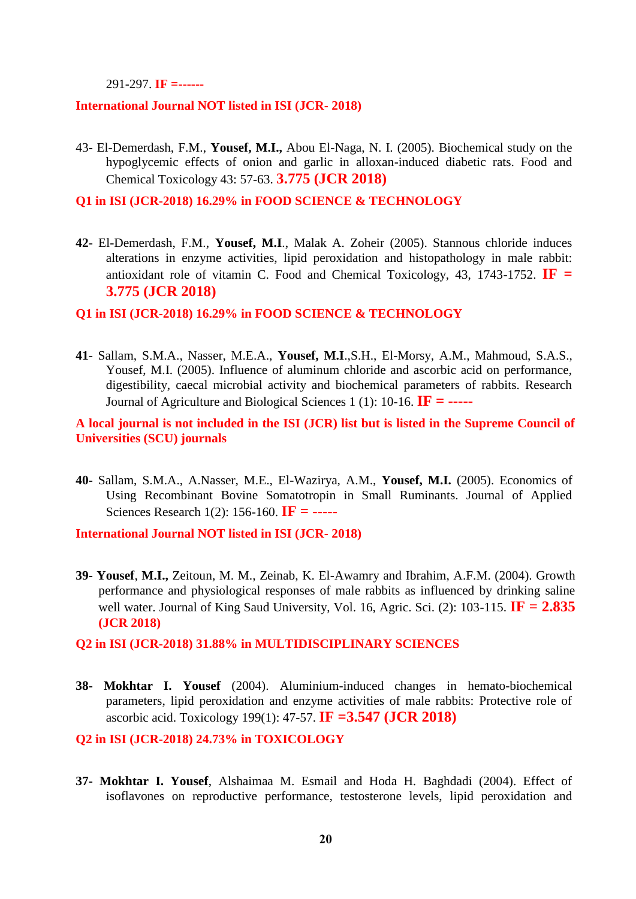291-297. **IF =------**

#### **International Journal NOT listed in ISI (JCR- 2018)**

43**-** El-Demerdash, F.M., **Yousef, M.I.,** Abou El-Naga, N. I. (2005). Biochemical study on the hypoglycemic effects of onion and garlic in alloxan-induced diabetic rats. Food and Chemical Toxicology 43: 57-63. **3.775 (JCR 2018)**

**Q1 in ISI (JCR-2018) 16.29% in FOOD SCIENCE & TECHNOLOGY**

**42**- El-Demerdash, F.M., **Yousef, M.I**., Malak A. Zoheir (2005). Stannous chloride induces alterations in enzyme activities, lipid peroxidation and histopathology in male rabbit: antioxidant role of vitamin C. Food and Chemical Toxicology, 43, 1743-1752.  $\mathbf{IF} =$ **3.775 (JCR 2018)**

#### **Q1 in ISI (JCR-2018) 16.29% in FOOD SCIENCE & TECHNOLOGY**

**41**- Sallam, S.M.A., Nasser, M.E.A., **Yousef, M.I**.,S.H., El-Morsy, A.M., Mahmoud, S.A.S., Yousef, M.I. (2005). Influence of aluminum chloride and ascorbic acid on performance, digestibility, caecal microbial activity and biochemical parameters of rabbits. Research Journal of Agriculture and Biological Sciences 1 (1): 10-16. **IF = -----**

**A local journal is not included in the ISI (JCR) list but is listed in the Supreme Council of Universities (SCU) journals**

**40-** Sallam, S.M.A., A.Nasser, M.E., El-Wazirya, A.M., **Yousef, M.I.** (2005). Economics of Using Recombinant Bovine Somatotropin in Small Ruminants. Journal of Applied Sciences Research 1(2): 156-160. **IF = -----**

**International Journal NOT listed in ISI (JCR- 2018)**

**39- Yousef**, **M.I.,** Zeitoun, M. M., Zeinab, K. El-Awamry and Ibrahim, A.F.M. (2004). Growth performance and physiological responses of male rabbits as influenced by drinking saline well water. Journal of King Saud University, Vol. 16, Agric. Sci. (2): 103-115. **IF = 2.835 (JCR 2018)**

#### **Q2 in ISI (JCR-2018) 31.88% in MULTIDISCIPLINARY SCIENCES**

**38- Mokhtar I. Yousef** (2004). Aluminium-induced changes in hemato-biochemical parameters, lipid peroxidation and enzyme activities of male rabbits: Protective role of ascorbic acid. Toxicology 199(1): 47-57. **IF =3.547 (JCR 2018)**

**Q2 in ISI (JCR-2018) 24.73% in TOXICOLOGY**

**37- Mokhtar I. Yousef**, Alshaimaa M. Esmail and Hoda H. Baghdadi (2004). Effect of isoflavones on reproductive performance, testosterone levels, lipid peroxidation and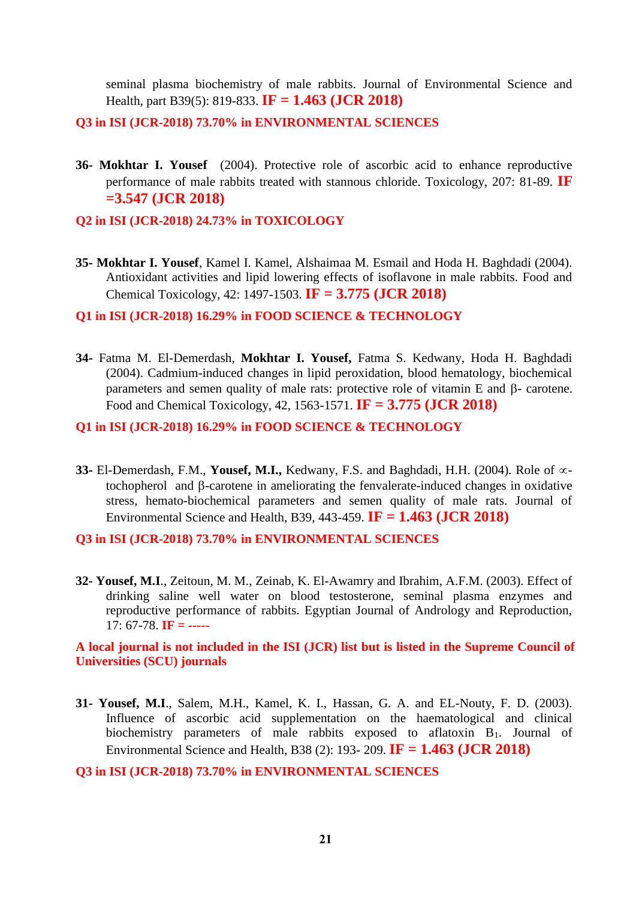seminal plasma biochemistry of male rabbits. Journal of Environmental Science and Health, part B39(5): 819-833. **IF = 1.463 (JCR 2018)**

**Q3 in ISI (JCR-2018) 73.70% in ENVIRONMENTAL SCIENCES**

**36- Mokhtar I. Yousef** (2004). Protective role of ascorbic acid to enhance reproductive performance of male rabbits treated with stannous chloride. Toxicology, 207: 81-89. **IF =3.547 (JCR 2018)**

**Q2 in ISI (JCR-2018) 24.73% in TOXICOLOGY**

**35- Mokhtar I. Yousef**, Kamel I. Kamel, Alshaimaa M. Esmail and Hoda H. Baghdadi (2004). Antioxidant activities and lipid lowering effects of isoflavone in male rabbits. Food and Chemical Toxicology, 42: 1497-1503. **IF = 3.775 (JCR 2018)**

#### **Q1 in ISI (JCR-2018) 16.29% in FOOD SCIENCE & TECHNOLOGY**

**34-** Fatma M. El-Demerdash, **Mokhtar I. Yousef,** Fatma S. Kedwany, Hoda H. Baghdadi (2004). Cadmium-induced changes in lipid peroxidation, blood hematology, biochemical parameters and semen quality of male rats: protective role of vitamin  $E$  and  $\beta$ - carotene. Food and Chemical Toxicology, 42, 1563-1571. **IF = 3.775 (JCR 2018)**

#### **Q1 in ISI (JCR-2018) 16.29% in FOOD SCIENCE & TECHNOLOGY**

**33-** El-Demerdash, F.M., **Yousef, M.I.,** Kedwany, F.S. and Baghdadi, H.H. (2004). Role of ∞tochopherol and B-carotene in ameliorating the fenvalerate-induced changes in oxidative stress, hemato-biochemical parameters and semen quality of male rats. Journal of Environmental Science and Health, B39, 443-459. **IF = 1.463 (JCR 2018)**

**Q3 in ISI (JCR-2018) 73.70% in ENVIRONMENTAL SCIENCES**

**32- Yousef, M.I**., Zeitoun, M. M., Zeinab, K. El-Awamry and Ibrahim, A.F.M. (2003). Effect of drinking saline well water on blood testosterone, seminal plasma enzymes and reproductive performance of rabbits. Egyptian Journal of Andrology and Reproduction, 17: 67-78. **IF = -----**

**A local journal is not included in the ISI (JCR) list but is listed in the Supreme Council of Universities (SCU) journals**

**31- Yousef, M.I**., Salem, M.H., Kamel, K. I., Hassan, G. A. and EL-Nouty, F. D. (2003). Influence of ascorbic acid supplementation on the haematological and clinical biochemistry parameters of male rabbits exposed to aflatoxin B<sub>1</sub>. Journal of Environmental Science and Health, B38 (2): 193- 209. **IF = 1.463 (JCR 2018)**

**Q3 in ISI (JCR-2018) 73.70% in ENVIRONMENTAL SCIENCES**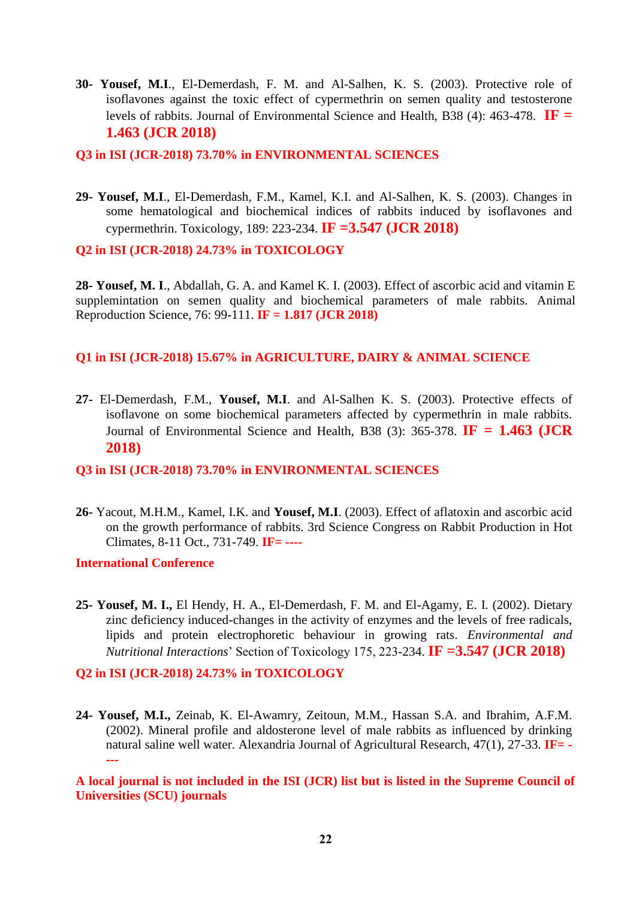**30- Yousef, M.I**., El-Demerdash, F. M. and Al-Salhen, K. S. (2003). Protective role of isoflavones against the toxic effect of cypermethrin on semen quality and testosterone levels of rabbits. Journal of Environmental Science and Health, B38 (4): 463-478. **IF = 1.463 (JCR 2018)**

#### **Q3 in ISI (JCR-2018) 73.70% in ENVIRONMENTAL SCIENCES**

**29- Yousef, M.I**., El-Demerdash, F.M., Kamel, K.I. and Al-Salhen, K. S. (2003). Changes in some hematological and biochemical indices of rabbits induced by isoflavones and cypermethrin. Toxicology, 189: 223-234. **IF =3.547 (JCR 2018)**

**Q2 in ISI (JCR-2018) 24.73% in TOXICOLOGY**

**28- Yousef, M. I**., Abdallah, G. A. and Kamel K. I. (2003). Effect of ascorbic acid and vitamin E supplemintation on semen quality and biochemical parameters of male rabbits. Animal Reproduction Science, 76: 99-111. **IF = 1.817 (JCR 2018)**

#### **Q1 in ISI (JCR-2018) 15.67% in AGRICULTURE, DAIRY & ANIMAL SCIENCE**

**27-** El-Demerdash, F.M., **Yousef, M.I**. and Al-Salhen K. S. (2003). Protective effects of isoflavone on some biochemical parameters affected by cypermethrin in male rabbits. Journal of Environmental Science and Health, B38 (3): 365-378. **IF = 1.463 (JCR 2018)**

#### **Q3 in ISI (JCR-2018) 73.70% in ENVIRONMENTAL SCIENCES**

**26-** Yacout, M.H.M., Kamel, I.K. and **Yousef, M.I**. (2003). Effect of aflatoxin and ascorbic acid on the growth performance of rabbits. 3rd Science Congress on Rabbit Production in Hot Climates, 8-11 Oct., 731-749. **IF= ----**

**International Conference**

**25- Yousef, M. I.,** El Hendy, H. A., El-Demerdash, F. M. and El-Agamy, E. I. (2002). Dietary zinc deficiency induced-changes in the activity of enzymes and the levels of free radicals, lipids and protein electrophoretic behaviour in growing rats. *Environmental and Nutritional Interactions*' Section of Toxicology 175, 223-234. **IF =3.547 (JCR 2018)**

#### **Q2 in ISI (JCR-2018) 24.73% in TOXICOLOGY**

**24- Yousef, M.I.,** Zeinab, K. El-Awamry, Zeitoun, M.M., Hassan S.A. and Ibrahim, A.F.M. (2002). Mineral profile and aldosterone level of male rabbits as influenced by drinking natural saline well water. Alexandria Journal of Agricultural Research, 47(1), 27-33. **IF= - ---**

**A local journal is not included in the ISI (JCR) list but is listed in the Supreme Council of Universities (SCU) journals**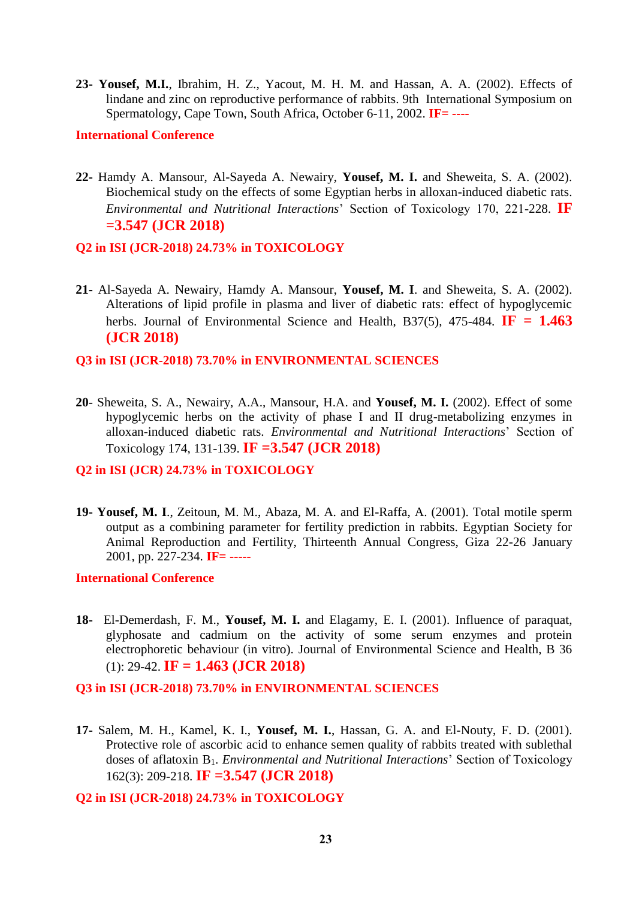**23- Yousef, M.I.**, Ibrahim, H. Z., Yacout, M. H. M. and Hassan, A. A. (2002). Effects of lindane and zinc on reproductive performance of rabbits. 9th International Symposium on Spermatology, Cape Town, South Africa, October 6-11, 2002. **IF= ----**

#### **International Conference**

**22-** Hamdy A. Mansour, Al-Sayeda A. Newairy, **Yousef, M. I.** and Sheweita, S. A. (2002). Biochemical study on the effects of some Egyptian herbs in alloxan-induced diabetic rats. *Environmental and Nutritional Interactions*' Section of Toxicology 170, 221-228. **IF =3.547 (JCR 2018)**

#### **Q2 in ISI (JCR-2018) 24.73% in TOXICOLOGY**

- **21-** Al-Sayeda A. Newairy, Hamdy A. Mansour, **Yousef, M. I**. and Sheweita, S. A. (2002). Alterations of lipid profile in plasma and liver of diabetic rats: effect of hypoglycemic herbs. Journal of Environmental Science and Health, B37(5), 475-484.  $IF = 1.463$ **(JCR 2018)**
- **Q3 in ISI (JCR-2018) 73.70% in ENVIRONMENTAL SCIENCES**
- **20** Sheweita, S. A., Newairy, A.A., Mansour, H.A. and **Yousef, M. I.** (2002). Effect of some hypoglycemic herbs on the activity of phase I and II drug-metabolizing enzymes in alloxan-induced diabetic rats. *Environmental and Nutritional Interactions*' Section of Toxicology 174, 131-139. **IF =3.547 (JCR 2018)**

#### **Q2 in ISI (JCR) 24.73% in TOXICOLOGY**

**19- Yousef, M. I**., Zeitoun, M. M., Abaza, M. A. and El-Raffa, A. (2001). Total motile sperm output as a combining parameter for fertility prediction in rabbits. Egyptian Society for Animal Reproduction and Fertility, Thirteenth Annual Congress, Giza 22-26 January 2001, pp. 227-234. **IF= -----**

#### **International Conference**

**18-** El-Demerdash, F. M., **Yousef, M. I.** and Elagamy, E. I. (2001). Influence of paraquat, glyphosate and cadmium on the activity of some serum enzymes and protein electrophoretic behaviour (in vitro). Journal of Environmental Science and Health, B 36 (1): 29-42. **IF = 1.463 (JCR 2018)**

#### **Q3 in ISI (JCR-2018) 73.70% in ENVIRONMENTAL SCIENCES**

**17-** Salem, M. H., Kamel, K. I., **Yousef, M. I.**, Hassan, G. A. and El-Nouty, F. D. (2001). Protective role of ascorbic acid to enhance semen quality of rabbits treated with sublethal doses of aflatoxin B1. *Environmental and Nutritional Interactions*' Section of Toxicology 162(3): 209-218. **IF =3.547 (JCR 2018)**

**Q2 in ISI (JCR-2018) 24.73% in TOXICOLOGY**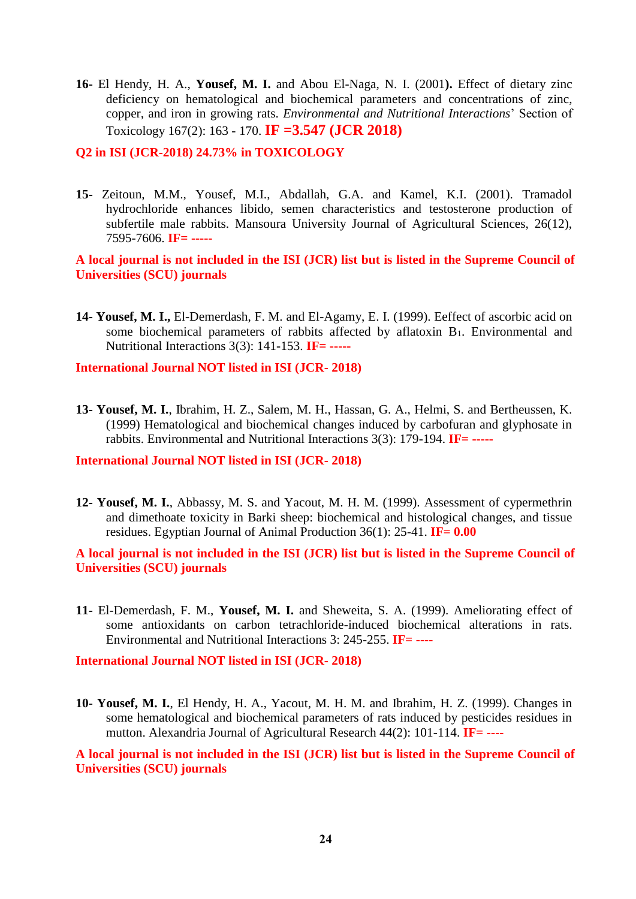**16-** El Hendy, H. A., **Yousef, M. I.** and Abou El-Naga, N. I. (2001**).** Effect of dietary zinc deficiency on hematological and biochemical parameters and concentrations of zinc, copper, and iron in growing rats. *Environmental and Nutritional Interactions*' Section of Toxicology 167(2): 163 - 170. **IF =3.547 (JCR 2018)**

**Q2 in ISI (JCR-2018) 24.73% in TOXICOLOGY**

**15-** Zeitoun, M.M., Yousef, M.I., Abdallah, G.A. and Kamel, K.I. (2001). Tramadol hydrochloride enhances libido, semen characteristics and testosterone production of subfertile male rabbits. Mansoura University Journal of Agricultural Sciences, 26(12), 7595-7606. **IF= -----**

**A local journal is not included in the ISI (JCR) list but is listed in the Supreme Council of Universities (SCU) journals**

**14- Yousef, M. I.,** El-Demerdash, F. M. and El-Agamy, E. I. (1999). Eeffect of ascorbic acid on some biochemical parameters of rabbits affected by aflatoxin B<sub>1</sub>. Environmental and Nutritional Interactions 3(3): 141-153. **IF= -----**

**International Journal NOT listed in ISI (JCR- 2018)**

**13- Yousef, M. I.**, Ibrahim, H. Z., Salem, M. H., Hassan, G. A., Helmi, S. and Bertheussen, K. (1999) Hematological and biochemical changes induced by carbofuran and glyphosate in rabbits. Environmental and Nutritional Interactions 3(3): 179-194. **IF= -----**

**International Journal NOT listed in ISI (JCR- 2018)**

**12- Yousef, M. I.**, Abbassy, M. S. and Yacout, M. H. M. (1999). Assessment of cypermethrin and dimethoate toxicity in Barki sheep: biochemical and histological changes, and tissue residues. Egyptian Journal of Animal Production 36(1): 25-41. **IF= 0.00**

**A local journal is not included in the ISI (JCR) list but is listed in the Supreme Council of Universities (SCU) journals**

**11-** El-Demerdash, F. M., **Yousef, M. I.** and Sheweita, S. A. (1999). Ameliorating effect of some antioxidants on carbon tetrachloride-induced biochemical alterations in rats. Environmental and Nutritional Interactions 3: 245-255. **IF= ----**

**International Journal NOT listed in ISI (JCR- 2018)**

**10- Yousef, M. I.**, El Hendy, H. A., Yacout, M. H. M. and Ibrahim, H. Z. (1999). Changes in some hematological and biochemical parameters of rats induced by pesticides residues in mutton. Alexandria Journal of Agricultural Research 44(2): 101-114. **IF= ----**

**A local journal is not included in the ISI (JCR) list but is listed in the Supreme Council of Universities (SCU) journals**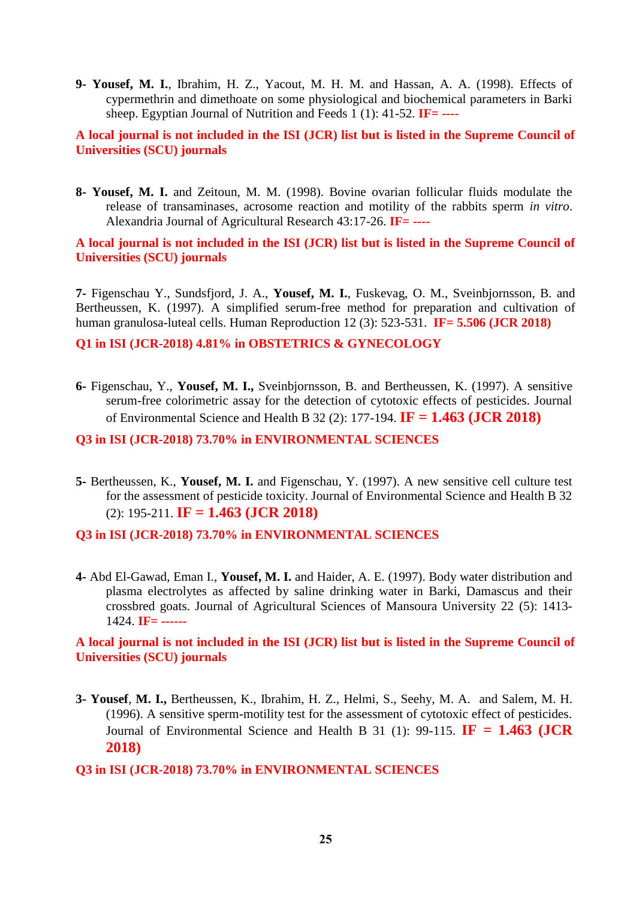**9- Yousef, M. I.**, Ibrahim, H. Z., Yacout, M. H. M. and Hassan, A. A. (1998). Effects of cypermethrin and dimethoate on some physiological and biochemical parameters in Barki sheep. Egyptian Journal of Nutrition and Feeds 1 (1): 41-52. **IF= ----**

**A local journal is not included in the ISI (JCR) list but is listed in the Supreme Council of Universities (SCU) journals**

**8- Yousef, M. I.** and Zeitoun, M. M. (1998). Bovine ovarian follicular fluids modulate the release of transaminases, acrosome reaction and motility of the rabbits sperm *in vitro*. Alexandria Journal of Agricultural Research 43:17-26. **IF= ----**

**A local journal is not included in the ISI (JCR) list but is listed in the Supreme Council of Universities (SCU) journals**

**7-** Figenschau Y., Sundsfjord, J. A., **Yousef, M. I.**, Fuskevag, O. M., Sveinbjornsson, B. and Bertheussen, K. (1997). A simplified serum-free method for preparation and cultivation of human granulosa-luteal cells. Human Reproduction 12 (3): 523-531. **IF= 5.506 (JCR 2018)**

**Q1 in ISI (JCR-2018) 4.81% in OBSTETRICS & GYNECOLOGY**

**6-** Figenschau, Y., **Yousef, M. I.,** Sveinbjornsson, B. and Bertheussen, K. (1997). A sensitive serum-free colorimetric assay for the detection of cytotoxic effects of pesticides. Journal of Environmental Science and Health B 32 (2): 177-194. **IF = 1.463 (JCR 2018)**

**Q3 in ISI (JCR-2018) 73.70% in ENVIRONMENTAL SCIENCES**

**5-** Bertheussen, K., **Yousef, M. I.** and Figenschau, Y. (1997). A new sensitive cell culture test for the assessment of pesticide toxicity. Journal of Environmental Science and Health B 32 (2): 195-211. **IF = 1.463 (JCR 2018)**

**Q3 in ISI (JCR-2018) 73.70% in ENVIRONMENTAL SCIENCES**

**4-** Abd El-Gawad, Eman I., **Yousef, M. I.** and Haider, A. E. (1997). Body water distribution and plasma electrolytes as affected by saline drinking water in Barki, Damascus and their crossbred goats. Journal of Agricultural Sciences of Mansoura University 22 (5): 1413- 1424. **IF= ------**

**A local journal is not included in the ISI (JCR) list but is listed in the Supreme Council of Universities (SCU) journals**

**3- Yousef**, **M. I.,** Bertheussen, K., Ibrahim, H. Z., Helmi, S., Seehy, M. A. and Salem, M. H. (1996). A sensitive sperm-motility test for the assessment of cytotoxic effect of pesticides. Journal of Environmental Science and Health B 31 (1): 99-115. **IF = 1.463 (JCR 2018)**

#### **Q3 in ISI (JCR-2018) 73.70% in ENVIRONMENTAL SCIENCES**